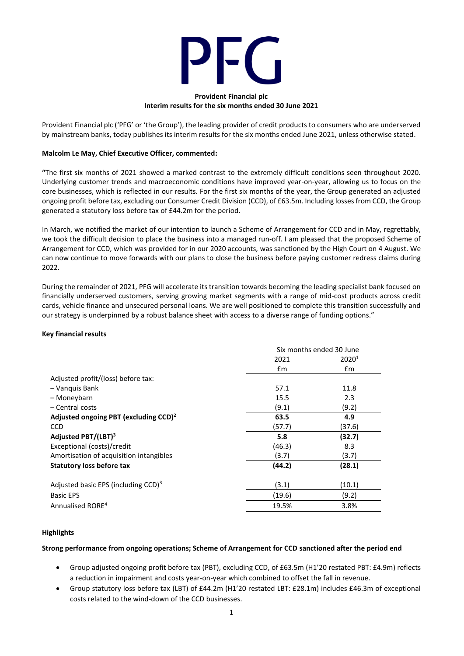

#### **Provident Financial plc Interim results for the six months ended 30 June 2021**

Provident Financial plc ('PFG' or 'the Group'), the leading provider of credit products to consumers who are underserved by mainstream banks, today publishes its interim results for the six months ended June 2021, unless otherwise stated.

# **Malcolm Le May, Chief Executive Officer, commented:**

**"**The first six months of 2021 showed a marked contrast to the extremely difficult conditions seen throughout 2020. Underlying customer trends and macroeconomic conditions have improved year-on-year, allowing us to focus on the core businesses, which is reflected in our results. For the first six months of the year, the Group generated an adjusted ongoing profit before tax, excluding our Consumer Credit Division (CCD), of £63.5m. Including losses from CCD, the Group generated a statutory loss before tax of £44.2m for the period.

In March, we notified the market of our intention to launch a Scheme of Arrangement for CCD and in May, regrettably, we took the difficult decision to place the business into a managed run-off. I am pleased that the proposed Scheme of Arrangement for CCD, which was provided for in our 2020 accounts, was sanctioned by the High Court on 4 August. We can now continue to move forwards with our plans to close the business before paying customer redress claims during 2022.

During the remainder of 2021, PFG will accelerate its transition towards becoming the leading specialist bank focused on financially underserved customers, serving growing market segments with a range of mid-cost products across credit cards, vehicle finance and unsecured personal loans. We are well positioned to complete this transition successfully and our strategy is underpinned by a robust balance sheet with access to a diverse range of funding options."

#### **Key financial results**

|                                                   | Six months ended 30 June |                   |  |
|---------------------------------------------------|--------------------------|-------------------|--|
|                                                   | 2021                     | 2020 <sup>1</sup> |  |
|                                                   | Em                       | Em                |  |
| Adjusted profit/(loss) before tax:                |                          |                   |  |
| - Vanguis Bank                                    | 57.1                     | 11.8              |  |
| - Moneybarn                                       | 15.5                     | 2.3               |  |
| - Central costs                                   | (9.1)                    | (9.2)             |  |
| Adjusted ongoing PBT (excluding CCD) <sup>2</sup> | 63.5                     | 4.9               |  |
| <b>CCD</b>                                        | (57.7)                   | (37.6)            |  |
| Adjusted PBT/(LBT) <sup>3</sup>                   | 5.8                      | (32.7)            |  |
| Exceptional (costs)/credit                        | (46.3)                   | 8.3               |  |
| Amortisation of acquisition intangibles           | (3.7)                    | (3.7)             |  |
| <b>Statutory loss before tax</b>                  | (44.2)                   | (28.1)            |  |
| Adjusted basic EPS (including CCD) $3$            | (3.1)                    | (10.1)            |  |
| <b>Basic EPS</b>                                  | (19.6)                   | (9.2)             |  |
| Annualised RORE <sup>4</sup>                      | 19.5%                    | 3.8%              |  |

# **Highlights**

# **Strong performance from ongoing operations; Scheme of Arrangement for CCD sanctioned after the period end**

- Group adjusted ongoing profit before tax (PBT), excluding CCD, of £63.5m (H1'20 restated PBT: £4.9m) reflects a reduction in impairment and costs year-on-year which combined to offset the fall in revenue.
- Group statutory loss before tax (LBT) of £44.2m (H1'20 restated LBT: £28.1m) includes £46.3m of exceptional costs related to the wind-down of the CCD businesses.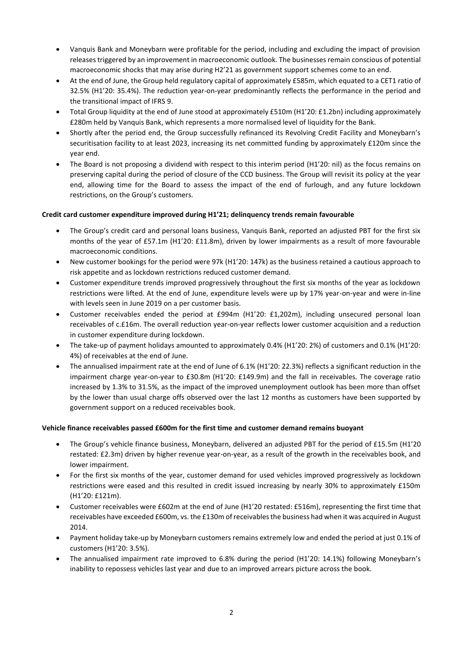- Vanquis Bank and Moneybarn were profitable for the period, including and excluding the impact of provision releases triggered by an improvement in macroeconomic outlook. The businesses remain conscious of potential macroeconomic shocks that may arise during H2'21 as government support schemes come to an end.
- At the end of June, the Group held regulatory capital of approximately £585m, which equated to a CET1 ratio of 32.5% (H1'20: 35.4%). The reduction year-on-year predominantly reflects the performance in the period and the transitional impact of IFRS 9.
- Total Group liquidity at the end of June stood at approximately £510m (H1'20: £1.2bn) including approximately £280m held by Vanquis Bank, which represents a more normalised level of liquidity for the Bank.
- Shortly after the period end, the Group successfully refinanced its Revolving Credit Facility and Moneybarn's securitisation facility to at least 2023, increasing its net committed funding by approximately £120m since the year end.
- The Board is not proposing a dividend with respect to this interim period (H1'20: nil) as the focus remains on preserving capital during the period of closure of the CCD business. The Group will revisit its policy at the year end, allowing time for the Board to assess the impact of the end of furlough, and any future lockdown restrictions, on the Group's customers.

# **Credit card customer expenditure improved during H1'21; delinquency trends remain favourable**

- The Group's credit card and personal loans business, Vanquis Bank, reported an adjusted PBT for the first six months of the year of £57.1m (H1'20: £11.8m), driven by lower impairments as a result of more favourable macroeconomic conditions.
- New customer bookings for the period were 97k (H1'20: 147k) as the business retained a cautious approach to risk appetite and as lockdown restrictions reduced customer demand.
- Customer expenditure trends improved progressively throughout the first six months of the year as lockdown restrictions were lifted. At the end of June, expenditure levels were up by 17% year-on-year and were in-line with levels seen in June 2019 on a per customer basis.
- Customer receivables ended the period at £994m (H1'20: £1,202m), including unsecured personal loan receivables of c.£16m. The overall reduction year-on-year reflects lower customer acquisition and a reduction in customer expenditure during lockdown.
- The take-up of payment holidays amounted to approximately 0.4% (H1'20: 2%) of customers and 0.1% (H1'20: 4%) of receivables at the end of June.
- The annualised impairment rate at the end of June of 6.1% (H1'20: 22.3%) reflects a significant reduction in the impairment charge year-on-year to £30.8m (H1'20: £149.9m) and the fall in receivables. The coverage ratio increased by 1.3% to 31.5%, as the impact of the improved unemployment outlook has been more than offset by the lower than usual charge offs observed over the last 12 months as customers have been supported by government support on a reduced receivables book.

# **Vehicle finance receivables passed £600m for the first time and customer demand remains buoyant**

- The Group's vehicle finance business, Moneybarn, delivered an adjusted PBT for the period of £15.5m (H1'20 restated: £2.3m) driven by higher revenue year-on-year, as a result of the growth in the receivables book, and lower impairment.
- For the first six months of the year, customer demand for used vehicles improved progressively as lockdown restrictions were eased and this resulted in credit issued increasing by nearly 30% to approximately £150m (H1'20: £121m).
- Customer receivables were £602m at the end of June (H1'20 restated: £516m), representing the first time that receivables have exceeded £600m, vs. the £130m of receivablesthe business had when it was acquired in August 2014.
- Payment holiday take-up by Moneybarn customers remains extremely low and ended the period at just 0.1% of customers (H1'20: 3.5%).
- The annualised impairment rate improved to 6.8% during the period (H1'20: 14.1%) following Moneybarn's inability to repossess vehicles last year and due to an improved arrears picture across the book.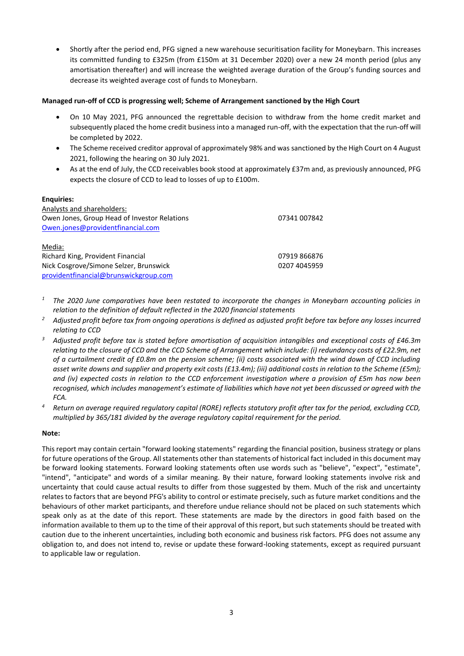• Shortly after the period end, PFG signed a new warehouse securitisation facility for Moneybarn. This increases its committed funding to £325m (from £150m at 31 December 2020) over a new 24 month period (plus any amortisation thereafter) and will increase the weighted average duration of the Group's funding sources and decrease its weighted average cost of funds to Moneybarn.

# **Managed run-off of CCD is progressing well; Scheme of Arrangement sanctioned by the High Court**

- On 10 May 2021, PFG announced the regrettable decision to withdraw from the home credit market and subsequently placed the home credit business into a managed run-off, with the expectation that the run-off will be completed by 2022.
- The Scheme received creditor approval of approximately 98% and was sanctioned by the High Court on 4 August 2021, following the hearing on 30 July 2021.
- As at the end of July, the CCD receivables book stood at approximately £37m and, as previously announced, PFG expects the closure of CCD to lead to losses of up to £100m.

# **Enquiries:**

| Analysts and shareholders:                   |              |
|----------------------------------------------|--------------|
| Owen Jones, Group Head of Investor Relations | 07341 007842 |
| Owen.jones@providentfinancial.com            |              |
|                                              |              |
| Media:                                       |              |
| Richard King, Provident Financial            | 07919 866876 |
| Nick Cosgrove/Simone Selzer, Brunswick       | 0207 4045959 |
| providentfinancial@brunswickgroup.com        |              |

- *<sup>1</sup> The 2020 June comparatives have been restated to incorporate the changes in Moneybarn accounting policies in relation to the definition of default reflected in the 2020 financial statements*
- *<sup>2</sup> Adjusted profit before tax from ongoing operations is defined as adjusted profit before tax before any losses incurred relating to CCD*
- *<sup>3</sup> Adjusted profit before tax is stated before amortisation of acquisition intangibles and exceptional costs of £46.3m relating to the closure of CCD and the CCD Scheme of Arrangement which include: (i) redundancy costs of £22.9m, net of a curtailment credit of £0.8m on the pension scheme; (ii) costs associated with the wind down of CCD including asset write downs and supplier and property exit costs (£13.4m); (iii) additional costs in relation to the Scheme (£5m); and (iv) expected costs in relation to the CCD enforcement investigation where a provision of £5m has now been recognised, which includes management's estimate of liabilities which have not yet been discussed or agreed with the FCA.*
- *<sup>4</sup> Return on average required regulatory capital (RORE) reflects statutory profit after tax for the period, excluding CCD, multiplied by 365/181 divided by the average regulatory capital requirement for the period.*

# **Note:**

This report may contain certain "forward looking statements" regarding the financial position, business strategy or plans for future operations of the Group. All statements other than statements of historical fact included in this document may be forward looking statements. Forward looking statements often use words such as "believe", "expect", "estimate", "intend", "anticipate" and words of a similar meaning. By their nature, forward looking statements involve risk and uncertainty that could cause actual results to differ from those suggested by them. Much of the risk and uncertainty relates to factors that are beyond PFG's ability to control or estimate precisely, such as future market conditions and the behaviours of other market participants, and therefore undue reliance should not be placed on such statements which speak only as at the date of this report. These statements are made by the directors in good faith based on the information available to them up to the time of their approval of this report, but such statements should be treated with caution due to the inherent uncertainties, including both economic and business risk factors. PFG does not assume any obligation to, and does not intend to, revise or update these forward-looking statements, except as required pursuant to applicable law or regulation.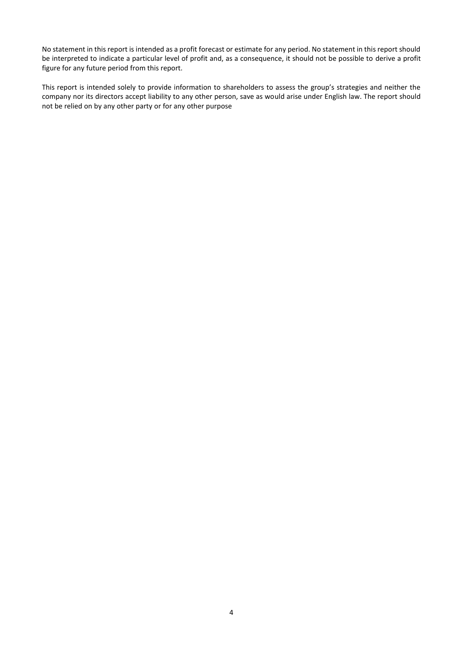No statement in this report is intended as a profit forecast or estimate for any period. No statement in this report should be interpreted to indicate a particular level of profit and, as a consequence, it should not be possible to derive a profit figure for any future period from this report.

This report is intended solely to provide information to shareholders to assess the group's strategies and neither the company nor its directors accept liability to any other person, save as would arise under English law. The report should not be relied on by any other party or for any other purpose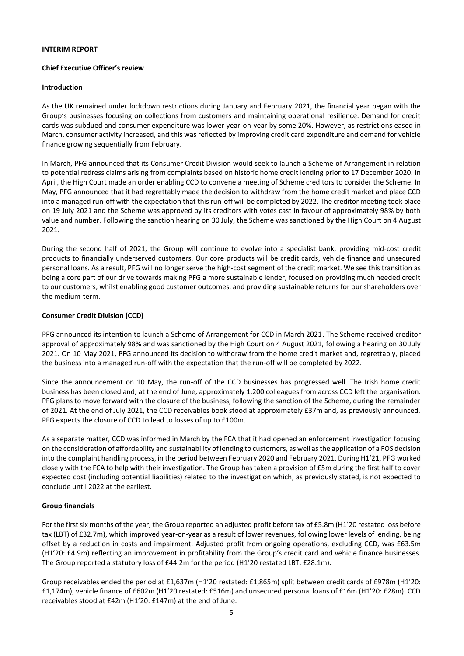#### **INTERIM REPORT**

#### **Chief Executive Officer's review**

#### **Introduction**

As the UK remained under lockdown restrictions during January and February 2021, the financial year began with the Group's businesses focusing on collections from customers and maintaining operational resilience. Demand for credit cards was subdued and consumer expenditure was lower year-on-year by some 20%. However, as restrictions eased in March, consumer activity increased, and this was reflected by improving credit card expenditure and demand for vehicle finance growing sequentially from February.

In March, PFG announced that its Consumer Credit Division would seek to launch a Scheme of Arrangement in relation to potential redress claims arising from complaints based on historic home credit lending prior to 17 December 2020. In April, the High Court made an order enabling CCD to convene a meeting of Scheme creditors to consider the Scheme. In May, PFG announced that it had regrettably made the decision to withdraw from the home credit market and place CCD into a managed run-off with the expectation that this run-off will be completed by 2022. The creditor meeting took place on 19 July 2021 and the Scheme was approved by its creditors with votes cast in favour of approximately 98% by both value and number. Following the sanction hearing on 30 July, the Scheme was sanctioned by the High Court on 4 August 2021.

During the second half of 2021, the Group will continue to evolve into a specialist bank, providing mid-cost credit products to financially underserved customers. Our core products will be credit cards, vehicle finance and unsecured personal loans. As a result, PFG will no longer serve the high-cost segment of the credit market. We see this transition as being a core part of our drive towards making PFG a more sustainable lender, focused on providing much needed credit to our customers, whilst enabling good customer outcomes, and providing sustainable returns for our shareholders over the medium-term.

# **Consumer Credit Division (CCD)**

PFG announced its intention to launch a Scheme of Arrangement for CCD in March 2021. The Scheme received creditor approval of approximately 98% and was sanctioned by the High Court on 4 August 2021, following a hearing on 30 July 2021. On 10 May 2021, PFG announced its decision to withdraw from the home credit market and, regrettably, placed the business into a managed run-off with the expectation that the run-off will be completed by 2022.

Since the announcement on 10 May, the run-off of the CCD businesses has progressed well. The Irish home credit business has been closed and, at the end of June, approximately 1,200 colleagues from across CCD left the organisation. PFG plans to move forward with the closure of the business, following the sanction of the Scheme, during the remainder of 2021. At the end of July 2021, the CCD receivables book stood at approximately £37m and, as previously announced, PFG expects the closure of CCD to lead to losses of up to £100m.

As a separate matter, CCD was informed in March by the FCA that it had opened an enforcement investigation focusing on the consideration of affordability and sustainability of lending to customers, as well as the application of a FOS decision into the complaint handling process, in the period between February 2020 and February 2021. During H1'21, PFG worked closely with the FCA to help with their investigation. The Group has taken a provision of £5m during the first half to cover expected cost (including potential liabilities) related to the investigation which, as previously stated, is not expected to conclude until 2022 at the earliest.

# **Group financials**

For the first six months of the year, the Group reported an adjusted profit before tax of £5.8m (H1'20 restated loss before tax (LBT) of £32.7m), which improved year-on-year as a result of lower revenues, following lower levels of lending, being offset by a reduction in costs and impairment. Adjusted profit from ongoing operations, excluding CCD, was £63.5m (H1'20: £4.9m) reflecting an improvement in profitability from the Group's credit card and vehicle finance businesses. The Group reported a statutory loss of £44.2m for the period (H1'20 restated LBT: £28.1m).

Group receivables ended the period at £1,637m (H1'20 restated: £1,865m) split between credit cards of £978m (H1'20: £1,174m), vehicle finance of £602m (H1'20 restated: £516m) and unsecured personal loans of £16m (H1'20: £28m). CCD receivables stood at £42m (H1'20: £147m) at the end of June.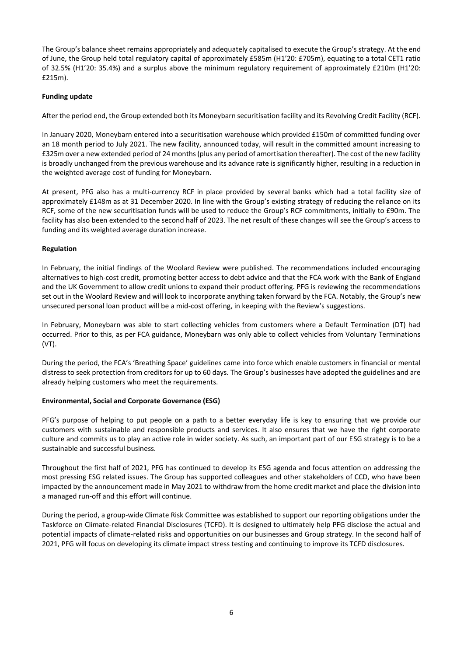The Group's balance sheet remains appropriately and adequately capitalised to execute the Group's strategy. At the end of June, the Group held total regulatory capital of approximately £585m (H1'20: £705m), equating to a total CET1 ratio of 32.5% (H1'20: 35.4%) and a surplus above the minimum regulatory requirement of approximately £210m (H1'20: £215m).

# **Funding update**

After the period end, the Group extended both its Moneybarn securitisation facility and its Revolving Credit Facility (RCF).

In January 2020, Moneybarn entered into a securitisation warehouse which provided £150m of committed funding over an 18 month period to July 2021. The new facility, announced today, will result in the committed amount increasing to £325m over a new extended period of 24 months (plus any period of amortisation thereafter). The cost of the new facility is broadly unchanged from the previous warehouse and its advance rate is significantly higher, resulting in a reduction in the weighted average cost of funding for Moneybarn.

At present, PFG also has a multi-currency RCF in place provided by several banks which had a total facility size of approximately £148m as at 31 December 2020. In line with the Group's existing strategy of reducing the reliance on its RCF, some of the new securitisation funds will be used to reduce the Group's RCF commitments, initially to £90m. The facility has also been extended to the second half of 2023. The net result of these changes will see the Group's access to funding and its weighted average duration increase.

# **Regulation**

In February, the initial findings of the Woolard Review were published. The recommendations included encouraging alternatives to high-cost credit, promoting better access to debt advice and that the FCA work with the Bank of England and the UK Government to allow credit unions to expand their product offering. PFG is reviewing the recommendations set out in the Woolard Review and will look to incorporate anything taken forward by the FCA. Notably, the Group's new unsecured personal loan product will be a mid-cost offering, in keeping with the Review's suggestions.

In February, Moneybarn was able to start collecting vehicles from customers where a Default Termination (DT) had occurred. Prior to this, as per FCA guidance, Moneybarn was only able to collect vehicles from Voluntary Terminations (VT).

During the period, the FCA's 'Breathing Space' guidelines came into force which enable customers in financial or mental distress to seek protection from creditors for up to 60 days. The Group's businesses have adopted the guidelines and are already helping customers who meet the requirements.

# **Environmental, Social and Corporate Governance (ESG)**

PFG's purpose of helping to put people on a path to a better everyday life is key to ensuring that we provide our customers with sustainable and responsible products and services. It also ensures that we have the right corporate culture and commits us to play an active role in wider society. As such, an important part of our ESG strategy is to be a sustainable and successful business.

Throughout the first half of 2021, PFG has continued to develop its ESG agenda and focus attention on addressing the most pressing ESG related issues. The Group has supported colleagues and other stakeholders of CCD, who have been impacted by the announcement made in May 2021 to withdraw from the home credit market and place the division into a managed run-off and this effort will continue.

During the period, a group-wide Climate Risk Committee was established to support our reporting obligations under the Taskforce on Climate-related Financial Disclosures (TCFD). It is designed to ultimately help PFG disclose the actual and potential impacts of climate-related risks and opportunities on our businesses and Group strategy. In the second half of 2021, PFG will focus on developing its climate impact stress testing and continuing to improve its TCFD disclosures.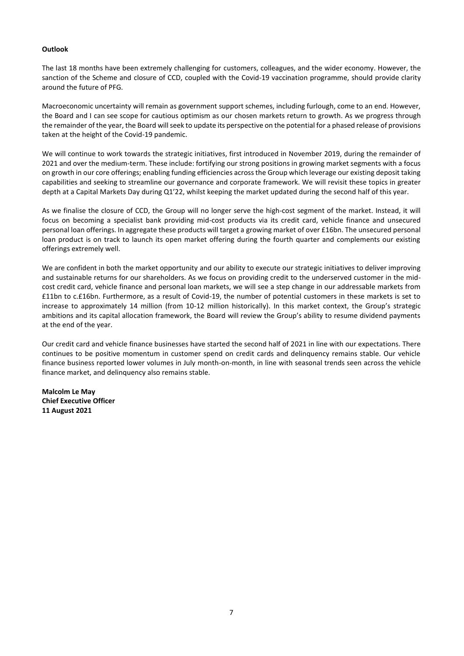#### **Outlook**

The last 18 months have been extremely challenging for customers, colleagues, and the wider economy. However, the sanction of the Scheme and closure of CCD, coupled with the Covid-19 vaccination programme, should provide clarity around the future of PFG.

Macroeconomic uncertainty will remain as government support schemes, including furlough, come to an end. However, the Board and I can see scope for cautious optimism as our chosen markets return to growth. As we progress through the remainder of the year, the Board will seek to update its perspective on the potential for a phased release of provisions taken at the height of the Covid-19 pandemic.

We will continue to work towards the strategic initiatives, first introduced in November 2019, during the remainder of 2021 and over the medium-term. These include: fortifying our strong positions in growing market segments with a focus on growth in our core offerings; enabling funding efficiencies across the Group which leverage our existing deposit taking capabilities and seeking to streamline our governance and corporate framework. We will revisit these topics in greater depth at a Capital Markets Day during Q1'22, whilst keeping the market updated during the second half of this year.

As we finalise the closure of CCD, the Group will no longer serve the high-cost segment of the market. Instead, it will focus on becoming a specialist bank providing mid-cost products via its credit card, vehicle finance and unsecured personal loan offerings. In aggregate these products will target a growing market of over £16bn. The unsecured personal loan product is on track to launch its open market offering during the fourth quarter and complements our existing offerings extremely well.

We are confident in both the market opportunity and our ability to execute our strategic initiatives to deliver improving and sustainable returns for our shareholders. As we focus on providing credit to the underserved customer in the midcost credit card, vehicle finance and personal loan markets, we will see a step change in our addressable markets from £11bn to c.£16bn. Furthermore, as a result of Covid-19, the number of potential customers in these markets is set to increase to approximately 14 million (from 10-12 million historically). In this market context, the Group's strategic ambitions and its capital allocation framework, the Board will review the Group's ability to resume dividend payments at the end of the year.

Our credit card and vehicle finance businesses have started the second half of 2021 in line with our expectations. There continues to be positive momentum in customer spend on credit cards and delinquency remains stable. Our vehicle finance business reported lower volumes in July month-on-month, in line with seasonal trends seen across the vehicle finance market, and delinquency also remains stable.

**Malcolm Le May Chief Executive Officer 11 August 2021**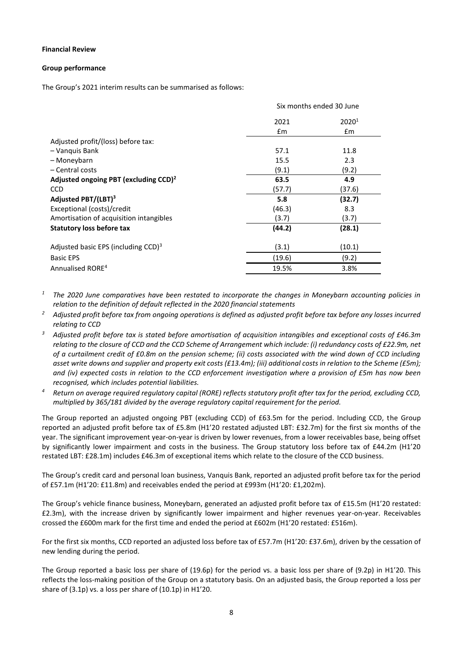#### **Financial Review**

#### **Group performance**

The Group's 2021 interim results can be summarised as follows:

|                                                      | Six months ended 30 June |                   |  |
|------------------------------------------------------|--------------------------|-------------------|--|
|                                                      | 2021                     | 2020 <sup>1</sup> |  |
|                                                      | Em                       | £m                |  |
| Adjusted profit/(loss) before tax:                   |                          |                   |  |
| - Vanquis Bank                                       | 57.1                     | 11.8              |  |
| – Moneybarn                                          | 15.5                     | 2.3               |  |
| - Central costs                                      | (9.1)                    | (9.2)             |  |
| Adjusted ongoing PBT (excluding $CCD$ ) <sup>2</sup> | 63.5                     | 4.9               |  |
| <b>CCD</b>                                           | (57.7)                   | (37.6)            |  |
| Adjusted PBT/(LBT) <sup>3</sup>                      | 5.8                      | (32.7)            |  |
| Exceptional (costs)/credit                           | (46.3)                   | 8.3               |  |
| Amortisation of acquisition intangibles              | (3.7)                    | (3.7)             |  |
| <b>Statutory loss before tax</b>                     | (44.2)                   | (28.1)            |  |
| Adjusted basic EPS (including CCD) $3$               | (3.1)                    | (10.1)            |  |
| <b>Basic EPS</b>                                     | (19.6)                   | (9.2)             |  |
| Annualised RORE <sup>4</sup>                         | 19.5%                    | 3.8%              |  |

*<sup>1</sup> The 2020 June comparatives have been restated to incorporate the changes in Moneybarn accounting policies in relation to the definition of default reflected in the 2020 financial statements*

- *<sup>2</sup> Adjusted profit before tax from ongoing operations is defined as adjusted profit before tax before any losses incurred relating to CCD*
- <sup>3</sup> Adjusted profit before tax is stated before amortisation of acquisition intangibles and exceptional costs of £46.3m *relating to the closure of CCD and the CCD Scheme of Arrangement which include: (i) redundancy costs of £22.9m, net of a curtailment credit of £0.8m on the pension scheme; (ii) costs associated with the wind down of CCD including asset write downs and supplier and property exit costs (£13.4m); (iii) additional costs in relation to the Scheme (£5m); and (iv) expected costs in relation to the CCD enforcement investigation where a provision of £5m has now been recognised, which includes potential liabilities.*
- *<sup>4</sup> Return on average required regulatory capital (RORE) reflects statutory profit after tax for the period, excluding CCD, multiplied by 365/181 divided by the average regulatory capital requirement for the period.*

The Group reported an adjusted ongoing PBT (excluding CCD) of £63.5m for the period. Including CCD, the Group reported an adjusted profit before tax of £5.8m (H1'20 restated adjusted LBT: £32.7m) for the first six months of the year. The significant improvement year-on-year is driven by lower revenues, from a lower receivables base, being offset by significantly lower impairment and costs in the business. The Group statutory loss before tax of £44.2m (H1'20 restated LBT: £28.1m) includes £46.3m of exceptional items which relate to the closure of the CCD business.

The Group's credit card and personal loan business, Vanquis Bank, reported an adjusted profit before tax for the period of £57.1m (H1'20: £11.8m) and receivables ended the period at £993m (H1'20: £1,202m).

The Group's vehicle finance business, Moneybarn, generated an adjusted profit before tax of £15.5m (H1'20 restated: £2.3m), with the increase driven by significantly lower impairment and higher revenues year-on-year. Receivables crossed the £600m mark for the first time and ended the period at £602m (H1'20 restated: £516m).

For the first six months, CCD reported an adjusted loss before tax of £57.7m (H1'20: £37.6m), driven by the cessation of new lending during the period.

The Group reported a basic loss per share of (19.6p) for the period vs. a basic loss per share of (9.2p) in H1'20. This reflects the loss-making position of the Group on a statutory basis. On an adjusted basis, the Group reported a loss per share of (3.1p) vs. a loss per share of (10.1p) in H1'20.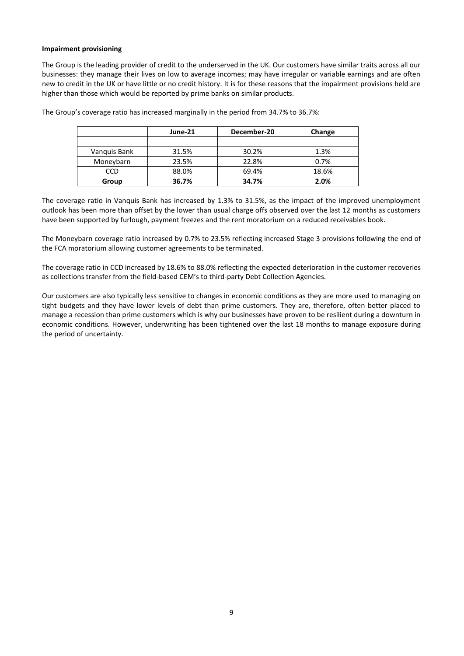#### **Impairment provisioning**

The Group is the leading provider of credit to the underserved in the UK. Our customers have similar traits across all our businesses: they manage their lives on low to average incomes; may have irregular or variable earnings and are often new to credit in the UK or have little or no credit history. It is for these reasons that the impairment provisions held are higher than those which would be reported by prime banks on similar products.

|              | June-21 | December-20 | Change |
|--------------|---------|-------------|--------|
|              |         |             |        |
| Vanguis Bank | 31.5%   | 30.2%       | 1.3%   |
| Moneybarn    | 23.5%   | 22.8%       | 0.7%   |
| CCD          | 88.0%   | 69.4%       | 18.6%  |
| Group        | 36.7%   | 34.7%       | 2.0%   |

The Group's coverage ratio has increased marginally in the period from 34.7% to 36.7%:

The coverage ratio in Vanquis Bank has increased by 1.3% to 31.5%, as the impact of the improved unemployment outlook has been more than offset by the lower than usual charge offs observed over the last 12 months as customers have been supported by furlough, payment freezes and the rent moratorium on a reduced receivables book.

The Moneybarn coverage ratio increased by 0.7% to 23.5% reflecting increased Stage 3 provisions following the end of the FCA moratorium allowing customer agreements to be terminated.

The coverage ratio in CCD increased by 18.6% to 88.0% reflecting the expected deterioration in the customer recoveries as collections transfer from the field-based CEM's to third-party Debt Collection Agencies.

Our customers are also typically less sensitive to changes in economic conditions as they are more used to managing on tight budgets and they have lower levels of debt than prime customers. They are, therefore, often better placed to manage a recession than prime customers which is why our businesses have proven to be resilient during a downturn in economic conditions. However, underwriting has been tightened over the last 18 months to manage exposure during the period of uncertainty.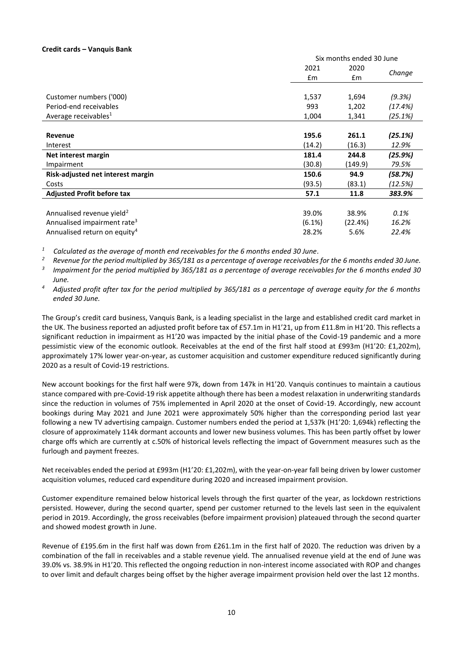#### **Credit cards – Vanquis Bank**

|                                          |               | Six months ended 30 June |         |  |
|------------------------------------------|---------------|--------------------------|---------|--|
|                                          | 2021          | 2020                     |         |  |
|                                          | $\mathsf{fm}$ | £m                       | Change  |  |
|                                          |               |                          |         |  |
| Customer numbers ('000)                  | 1,537         | 1,694                    | (9.3%)  |  |
| Period-end receivables                   | 993           | 1,202                    | (17.4%) |  |
| Average receivables <sup>1</sup>         | 1,004         | 1,341                    | (25.1%) |  |
|                                          |               |                          |         |  |
| Revenue                                  | 195.6         | 261.1                    | (25.1%) |  |
| Interest                                 | (14.2)        | (16.3)                   | 12.9%   |  |
| Net interest margin                      | 181.4         | 244.8                    | (25.9%) |  |
| Impairment                               | (30.8)        | (149.9)                  | 79.5%   |  |
| Risk-adjusted net interest margin        | 150.6         | 94.9                     | (58.7%) |  |
| Costs                                    | (93.5)        | (83.1)                   | (12.5%) |  |
| <b>Adjusted Profit before tax</b>        | 57.1          | 11.8                     | 383.9%  |  |
|                                          |               |                          |         |  |
| Annualised revenue yield <sup>2</sup>    | 39.0%         | 38.9%                    | 0.1%    |  |
| Annualised impairment rate <sup>3</sup>  | (6.1%)        | (22.4%)                  | 16.2%   |  |
| Annualised return on equity <sup>4</sup> | 28.2%         | 5.6%                     | 22.4%   |  |

*1 Calculated as the average of month end receivables for the 6 months ended 30 June.*

*<sup>2</sup> Revenue for the period multiplied by 365/181 as a percentage of average receivables for the 6 months ended 30 June.*

*3 Impairment for the period multiplied by 365/181 as a percentage of average receivables for the 6 months ended 30 June.*

*<sup>4</sup> Adjusted profit after tax for the period multiplied by 365/181 as a percentage of average equity for the 6 months ended 30 June.* 

The Group's credit card business, Vanquis Bank, is a leading specialist in the large and established credit card market in the UK. The business reported an adjusted profit before tax of £57.1m in H1'21, up from £11.8m in H1'20. This reflects a significant reduction in impairment as H1'20 was impacted by the initial phase of the Covid-19 pandemic and a more pessimistic view of the economic outlook. Receivables at the end of the first half stood at £993m (H1'20: £1,202m), approximately 17% lower year-on-year, as customer acquisition and customer expenditure reduced significantly during 2020 as a result of Covid-19 restrictions.

New account bookings for the first half were 97k, down from 147k in H1'20. Vanquis continues to maintain a cautious stance compared with pre-Covid-19 risk appetite although there has been a modest relaxation in underwriting standards since the reduction in volumes of 75% implemented in April 2020 at the onset of Covid-19. Accordingly, new account bookings during May 2021 and June 2021 were approximately 50% higher than the corresponding period last year following a new TV advertising campaign. Customer numbers ended the period at 1,537k (H1'20: 1,694k) reflecting the closure of approximately 114k dormant accounts and lower new business volumes. This has been partly offset by lower charge offs which are currently at c.50% of historical levels reflecting the impact of Government measures such as the furlough and payment freezes.

Net receivables ended the period at £993m (H1'20: £1,202m), with the year-on-year fall being driven by lower customer acquisition volumes, reduced card expenditure during 2020 and increased impairment provision.

Customer expenditure remained below historical levels through the first quarter of the year, as lockdown restrictions persisted. However, during the second quarter, spend per customer returned to the levels last seen in the equivalent period in 2019. Accordingly, the gross receivables (before impairment provision) plateaued through the second quarter and showed modest growth in June.

Revenue of £195.6m in the first half was down from £261.1m in the first half of 2020. The reduction was driven by a combination of the fall in receivables and a stable revenue yield. The annualised revenue yield at the end of June was 39.0% vs. 38.9% in H1'20. This reflected the ongoing reduction in non-interest income associated with ROP and changes to over limit and default charges being offset by the higher average impairment provision held over the last 12 months.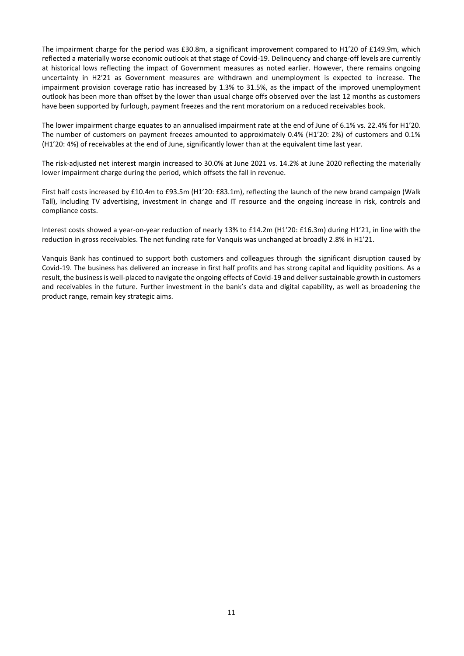The impairment charge for the period was £30.8m, a significant improvement compared to H1'20 of £149.9m, which reflected a materially worse economic outlook at that stage of Covid-19. Delinquency and charge-off levels are currently at historical lows reflecting the impact of Government measures as noted earlier. However, there remains ongoing uncertainty in H2'21 as Government measures are withdrawn and unemployment is expected to increase. The impairment provision coverage ratio has increased by 1.3% to 31.5%, as the impact of the improved unemployment outlook has been more than offset by the lower than usual charge offs observed over the last 12 months as customers have been supported by furlough, payment freezes and the rent moratorium on a reduced receivables book.

The lower impairment charge equates to an annualised impairment rate at the end of June of 6.1% vs. 22.4% for H1'20. The number of customers on payment freezes amounted to approximately 0.4% (H1'20: 2%) of customers and 0.1% (H1'20: 4%) of receivables at the end of June, significantly lower than at the equivalent time last year.

The risk-adjusted net interest margin increased to 30.0% at June 2021 vs. 14.2% at June 2020 reflecting the materially lower impairment charge during the period, which offsets the fall in revenue.

First half costs increased by £10.4m to £93.5m (H1'20: £83.1m), reflecting the launch of the new brand campaign (Walk Tall), including TV advertising, investment in change and IT resource and the ongoing increase in risk, controls and compliance costs.

Interest costs showed a year-on-year reduction of nearly 13% to £14.2m (H1'20: £16.3m) during H1'21, in line with the reduction in gross receivables. The net funding rate for Vanquis was unchanged at broadly 2.8% in H1'21.

Vanquis Bank has continued to support both customers and colleagues through the significant disruption caused by Covid-19. The business has delivered an increase in first half profits and has strong capital and liquidity positions. As a result, the business is well-placed to navigate the ongoing effects of Covid-19 and deliver sustainable growth in customers and receivables in the future. Further investment in the bank's data and digital capability, as well as broadening the product range, remain key strategic aims.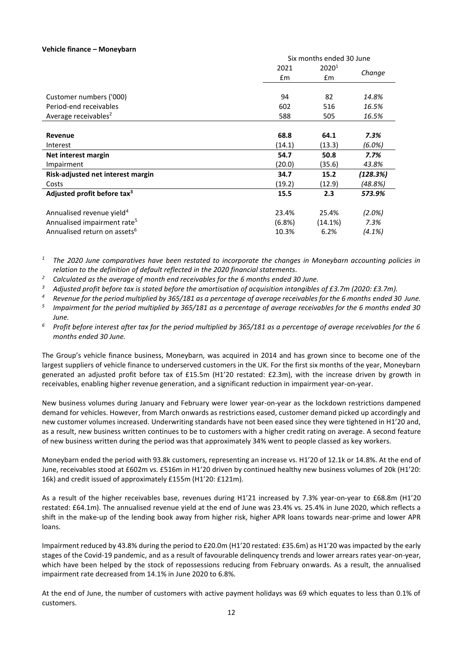#### **Vehicle finance – Moneybarn**

|                                          | Six months ended 30 June |                   |           |
|------------------------------------------|--------------------------|-------------------|-----------|
|                                          | 2021                     | 2020 <sup>1</sup> |           |
|                                          | £m                       | £m                | Change    |
|                                          |                          |                   |           |
| Customer numbers ('000)                  | 94                       | 82                | 14.8%     |
| Period-end receivables                   | 602                      | 516               | 16.5%     |
| Average receivables <sup>2</sup>         | 588                      | 505               | 16.5%     |
|                                          |                          |                   |           |
| <b>Revenue</b>                           | 68.8                     | 64.1              | 7.3%      |
| Interest                                 | (14.1)                   | (13.3)            | (6.0%)    |
| Net interest margin                      | 54.7                     | 50.8              | 7.7%      |
| Impairment                               | (20.0)                   | (35.6)            | 43.8%     |
| Risk-adjusted net interest margin        | 34.7                     | 15.2              | (128.3%)  |
| Costs                                    | (19.2)                   | (12.9)            | (48.8%)   |
| Adjusted profit before tax <sup>3</sup>  | 15.5                     | 2.3               | 573.9%    |
| Annualised revenue yield <sup>4</sup>    | 23.4%                    | 25.4%             | $(2.0\%)$ |
| Annualised impairment rate <sup>5</sup>  | (6.8%)                   | (14.1%)           | 7.3%      |
| Annualised return on assets <sup>6</sup> | 10.3%                    | 6.2%              | (4.1%)    |

*<sup>1</sup> The 2020 June comparatives have been restated to incorporate the changes in Moneybarn accounting policies in relation to the definition of default reflected in the 2020 financial statements.*

*<sup>2</sup> Calculated as the average of month end receivables for the 6 months ended 30 June.* 

<sup>3</sup> Adjusted profit before tax is stated before the amortisation of acquisition intangibles of £3.7m (2020: £3.7m).

*<sup>4</sup> Revenue for the period multiplied by 365/181 as a percentage of average receivables for the 6 months ended 30 June.*

*5 Impairment for the period multiplied by 365/181 as a percentage of average receivables for the 6 months ended 30 June.*

*<sup>6</sup> Profit before interest after tax for the period multiplied by 365/181 as a percentage of average receivables for the 6 months ended 30 June.*

The Group's vehicle finance business, Moneybarn, was acquired in 2014 and has grown since to become one of the largest suppliers of vehicle finance to underserved customers in the UK. For the first six months of the year, Moneybarn generated an adjusted profit before tax of £15.5m (H1'20 restated: £2.3m), with the increase driven by growth in receivables, enabling higher revenue generation, and a significant reduction in impairment year-on-year.

New business volumes during January and February were lower year-on-year as the lockdown restrictions dampened demand for vehicles. However, from March onwards as restrictions eased, customer demand picked up accordingly and new customer volumes increased. Underwriting standards have not been eased since they were tightened in H1'20 and, as a result, new business written continues to be to customers with a higher credit rating on average. A second feature of new business written during the period was that approximately 34% went to people classed as key workers.

Moneybarn ended the period with 93.8k customers, representing an increase vs. H1'20 of 12.1k or 14.8%. At the end of June, receivables stood at £602m vs. £516m in H1'20 driven by continued healthy new business volumes of 20k (H1'20: 16k) and credit issued of approximately £155m (H1'20: £121m).

As a result of the higher receivables base, revenues during H1'21 increased by 7.3% year-on-year to £68.8m (H1'20 restated: £64.1m). The annualised revenue yield at the end of June was 23.4% vs. 25.4% in June 2020, which reflects a shift in the make-up of the lending book away from higher risk, higher APR loans towards near-prime and lower APR loans.

Impairment reduced by 43.8% during the period to £20.0m (H1'20 restated: £35.6m) as H1'20 was impacted by the early stages of the Covid-19 pandemic, and as a result of favourable delinquency trends and lower arrears rates year-on-year, which have been helped by the stock of repossessions reducing from February onwards. As a result, the annualised impairment rate decreased from 14.1% in June 2020 to 6.8%.

At the end of June, the number of customers with active payment holidays was 69 which equates to less than 0.1% of customers.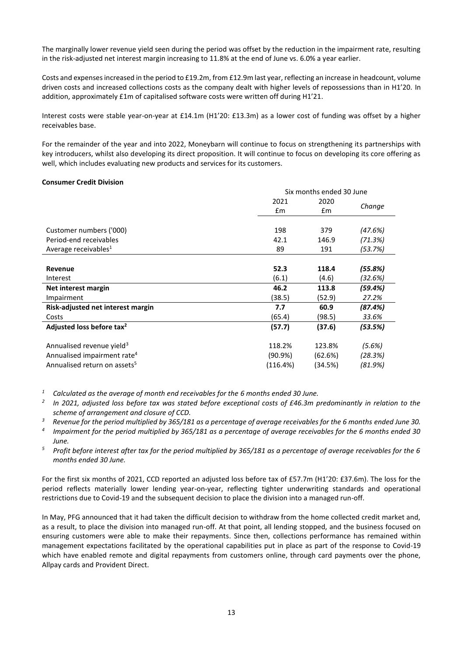The marginally lower revenue yield seen during the period was offset by the reduction in the impairment rate, resulting in the risk-adjusted net interest margin increasing to 11.8% at the end of June vs. 6.0% a year earlier.

Costs and expenses increased in the period to £19.2m, from £12.9m last year, reflecting an increase in headcount, volume driven costs and increased collections costs as the company dealt with higher levels of repossessions than in H1'20. In addition, approximately £1m of capitalised software costs were written off during H1'21.

Interest costs were stable year-on-year at £14.1m (H1'20: £13.3m) as a lower cost of funding was offset by a higher receivables base.

For the remainder of the year and into 2022, Moneybarn will continue to focus on strengthening its partnerships with key introducers, whilst also developing its direct proposition. It will continue to focus on developing its core offering as well, which includes evaluating new products and services for its customers.

#### **Consumer Credit Division**

|                                          | Six months ended 30 June |         |         |
|------------------------------------------|--------------------------|---------|---------|
|                                          | 2021                     | 2020    | Change  |
|                                          | £m                       | £m      |         |
|                                          |                          |         |         |
| Customer numbers ('000)                  | 198                      | 379     | (47.6%) |
| Period-end receivables                   | 42.1                     | 146.9   | (71.3%) |
| Average receivables <sup>1</sup>         | 89                       | 191     | (53.7%) |
|                                          |                          |         |         |
| Revenue                                  | 52.3                     | 118.4   | (55.8%) |
| Interest                                 | (6.1)                    | (4.6)   | (32.6%) |
| Net interest margin                      | 46.2                     | 113.8   | (59.4%) |
| Impairment                               | (38.5)                   | (52.9)  | 27.2%   |
| Risk-adjusted net interest margin        | 7.7                      | 60.9    | (87.4%) |
| Costs                                    | (65.4)                   | (98.5)  | 33.6%   |
| Adjusted loss before tax <sup>2</sup>    | (57.7)                   | (37.6)  | (53.5%) |
| Annualised revenue yield <sup>3</sup>    | 118.2%                   | 123.8%  | (5.6%)  |
| Annualised impairment rate <sup>4</sup>  | $(90.9\%)$               | (62.6%) | (28.3%) |
| Annualised return on assets <sup>5</sup> | (116.4%)                 | (34.5%) | (81.9%) |

*<sup>1</sup> Calculated as the average of month end receivables for the 6 months ended 30 June.*

- *2 In 2021, adjusted loss before tax was stated before exceptional costs of £46.3m predominantly in relation to the scheme of arrangement and closure of CCD.*
- *3 Revenue for the period multiplied by 365/181 as a percentage of average receivables for the 6 months ended June 30.*
- *4 Impairment for the period multiplied by 365/181 as a percentage of average receivables for the 6 months ended 30 June.*
- *<sup>5</sup> Profit before interest after tax for the period multiplied by 365/181 as a percentage of average receivables for the 6 months ended 30 June.*

For the first six months of 2021, CCD reported an adjusted loss before tax of £57.7m (H1'20: £37.6m). The loss for the period reflects materially lower lending year-on-year, reflecting tighter underwriting standards and operational restrictions due to Covid-19 and the subsequent decision to place the division into a managed run-off.

In May, PFG announced that it had taken the difficult decision to withdraw from the home collected credit market and, as a result, to place the division into managed run-off. At that point, all lending stopped, and the business focused on ensuring customers were able to make their repayments. Since then, collections performance has remained within management expectations facilitated by the operational capabilities put in place as part of the response to Covid-19 which have enabled remote and digital repayments from customers online, through card payments over the phone, Allpay cards and Provident Direct.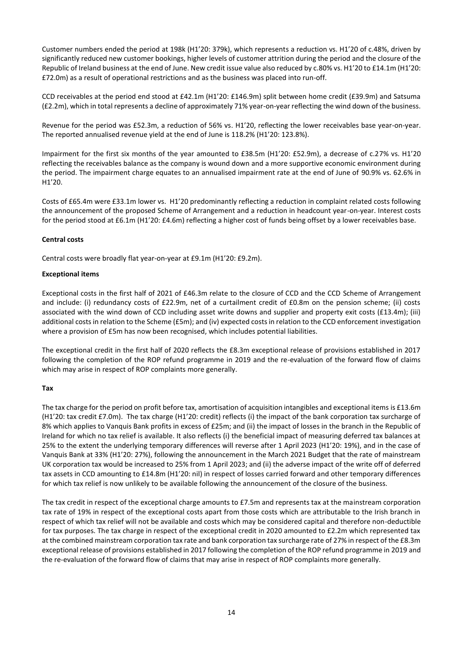Customer numbers ended the period at 198k (H1'20: 379k), which represents a reduction vs. H1'20 of c.48%, driven by significantly reduced new customer bookings, higher levels of customer attrition during the period and the closure of the Republic of Ireland business at the end of June. New credit issue value also reduced by c.80% vs. H1'20 to £14.1m (H1'20: £72.0m) as a result of operational restrictions and as the business was placed into run-off.

CCD receivables at the period end stood at £42.1m (H1'20: £146.9m) split between home credit (£39.9m) and Satsuma (£2.2m), which in total represents a decline of approximately 71% year-on-year reflecting the wind down of the business.

Revenue for the period was £52.3m, a reduction of 56% vs. H1'20, reflecting the lower receivables base year-on-year. The reported annualised revenue yield at the end of June is 118.2% (H1'20: 123.8%).

Impairment for the first six months of the year amounted to £38.5m (H1'20: £52.9m), a decrease of c.27% vs. H1'20 reflecting the receivables balance as the company is wound down and a more supportive economic environment during the period. The impairment charge equates to an annualised impairment rate at the end of June of 90.9% vs. 62.6% in H1'20.

Costs of £65.4m were £33.1m lower vs. H1'20 predominantly reflecting a reduction in complaint related costs following the announcement of the proposed Scheme of Arrangement and a reduction in headcount year-on-year. Interest costs for the period stood at £6.1m (H1'20: £4.6m) reflecting a higher cost of funds being offset by a lower receivables base.

# **Central costs**

Central costs were broadly flat year-on-year at £9.1m (H1'20: £9.2m).

# **Exceptional items**

Exceptional costs in the first half of 2021 of £46.3m relate to the closure of CCD and the CCD Scheme of Arrangement and include: (i) redundancy costs of £22.9m, net of a curtailment credit of £0.8m on the pension scheme; (ii) costs associated with the wind down of CCD including asset write downs and supplier and property exit costs (£13.4m); (iii) additional costs in relation to the Scheme (£5m); and (iv) expected costsin relation to the CCD enforcement investigation where a provision of £5m has now been recognised, which includes potential liabilities.

The exceptional credit in the first half of 2020 reflects the £8.3m exceptional release of provisions established in 2017 following the completion of the ROP refund programme in 2019 and the re-evaluation of the forward flow of claims which may arise in respect of ROP complaints more generally.

# **Tax**

The tax charge for the period on profit before tax, amortisation of acquisition intangibles and exceptional items is £13.6m (H1'20: tax credit £7.0m). The tax charge (H1'20: credit) reflects (i) the impact of the bank corporation tax surcharge of 8% which applies to Vanquis Bank profits in excess of £25m; and (ii) the impact of losses in the branch in the Republic of Ireland for which no tax relief is available. It also reflects (i) the beneficial impact of measuring deferred tax balances at 25% to the extent the underlying temporary differences will reverse after 1 April 2023 (H1'20: 19%), and in the case of Vanquis Bank at 33% (H1'20: 27%), following the announcement in the March 2021 Budget that the rate of mainstream UK corporation tax would be increased to 25% from 1 April 2023; and (ii) the adverse impact of the write off of deferred tax assets in CCD amounting to £14.8m (H1'20: nil) in respect of losses carried forward and other temporary differences for which tax relief is now unlikely to be available following the announcement of the closure of the business.

The tax credit in respect of the exceptional charge amounts to £7.5m and represents tax at the mainstream corporation tax rate of 19% in respect of the exceptional costs apart from those costs which are attributable to the Irish branch in respect of which tax relief will not be available and costs which may be considered capital and therefore non-deductible for tax purposes. The tax charge in respect of the exceptional credit in 2020 amounted to £2.2m which represented tax at the combined mainstream corporation tax rate and bank corporation tax surcharge rate of 27% in respect of the £8.3m exceptional release of provisions established in 2017 following the completion of the ROP refund programme in 2019 and the re-evaluation of the forward flow of claims that may arise in respect of ROP complaints more generally.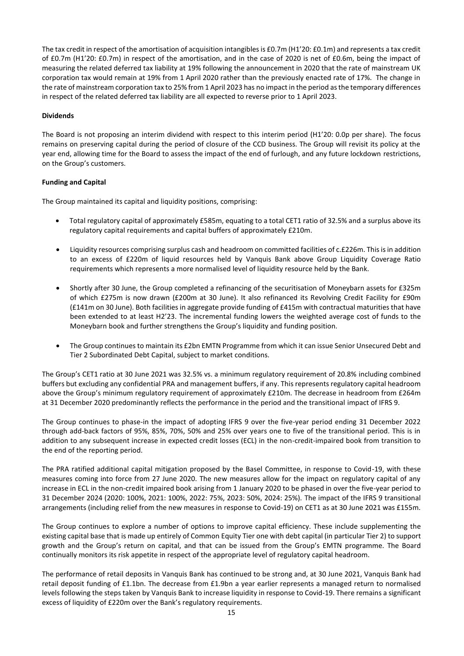The tax credit in respect of the amortisation of acquisition intangibles is £0.7m (H1'20: £0.1m) and represents a tax credit of £0.7m (H1'20: £0.7m) in respect of the amortisation, and in the case of 2020 is net of £0.6m, being the impact of measuring the related deferred tax liability at 19% following the announcement in 2020 that the rate of mainstream UK corporation tax would remain at 19% from 1 April 2020 rather than the previously enacted rate of 17%. The change in the rate of mainstream corporation tax to 25% from 1 April 2023 has no impact in the period as the temporary differences in respect of the related deferred tax liability are all expected to reverse prior to 1 April 2023.

# **Dividends**

The Board is not proposing an interim dividend with respect to this interim period (H1'20: 0.0p per share). The focus remains on preserving capital during the period of closure of the CCD business. The Group will revisit its policy at the year end, allowing time for the Board to assess the impact of the end of furlough, and any future lockdown restrictions, on the Group's customers.

# **Funding and Capital**

The Group maintained its capital and liquidity positions, comprising:

- Total regulatory capital of approximately £585m, equating to a total CET1 ratio of 32.5% and a surplus above its regulatory capital requirements and capital buffers of approximately £210m.
- Liquidity resources comprising surplus cash and headroom on committed facilities of c.£226m. Thisisin addition to an excess of £220m of liquid resources held by Vanquis Bank above Group Liquidity Coverage Ratio requirements which represents a more normalised level of liquidity resource held by the Bank.
- Shortly after 30 June, the Group completed a refinancing of the securitisation of Moneybarn assets for £325m of which £275m is now drawn (£200m at 30 June). It also refinanced its Revolving Credit Facility for £90m (£141m on 30 June). Both facilities in aggregate provide funding of £415m with contractual maturities that have been extended to at least H2'23. The incremental funding lowers the weighted average cost of funds to the Moneybarn book and further strengthens the Group's liquidity and funding position.
- The Group continues to maintain its £2bn EMTN Programme from which it can issue Senior Unsecured Debt and Tier 2 Subordinated Debt Capital, subject to market conditions.

The Group's CET1 ratio at 30 June 2021 was 32.5% vs. a minimum regulatory requirement of 20.8% including combined buffers but excluding any confidential PRA and management buffers, if any. This represents regulatory capital headroom above the Group's minimum regulatory requirement of approximately £210m. The decrease in headroom from £264m at 31 December 2020 predominantly reflects the performance in the period and the transitional impact of IFRS 9.

The Group continues to phase-in the impact of adopting IFRS 9 over the five-year period ending 31 December 2022 through add-back factors of 95%, 85%, 70%, 50% and 25% over years one to five of the transitional period. This is in addition to any subsequent increase in expected credit losses (ECL) in the non-credit-impaired book from transition to the end of the reporting period.

The PRA ratified additional capital mitigation proposed by the Basel Committee, in response to Covid-19, with these measures coming into force from 27 June 2020. The new measures allow for the impact on regulatory capital of any increase in ECL in the non-credit impaired book arising from 1 January 2020 to be phased in over the five-year period to 31 December 2024 (2020: 100%, 2021: 100%, 2022: 75%, 2023: 50%, 2024: 25%). The impact of the IFRS 9 transitional arrangements (including relief from the new measures in response to Covid-19) on CET1 as at 30 June 2021 was £155m.

The Group continues to explore a number of options to improve capital efficiency. These include supplementing the existing capital base that is made up entirely of Common Equity Tier one with debt capital (in particular Tier 2) to support growth and the Group's return on capital, and that can be issued from the Group's EMTN programme. The Board continually monitors its risk appetite in respect of the appropriate level of regulatory capital headroom.

The performance of retail deposits in Vanquis Bank has continued to be strong and, at 30 June 2021, Vanquis Bank had retail deposit funding of £1.1bn. The decrease from £1.9bn a year earlier represents a managed return to normalised levels following the steps taken by Vanquis Bank to increase liquidity in response to Covid-19. There remains a significant excess of liquidity of £220m over the Bank's regulatory requirements.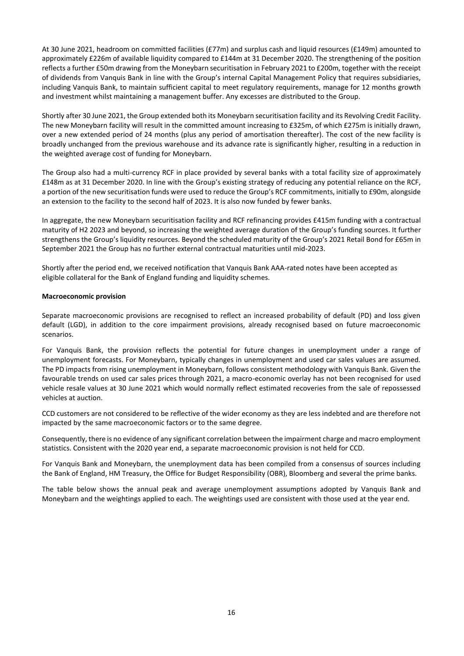At 30 June 2021, headroom on committed facilities (£77m) and surplus cash and liquid resources (£149m) amounted to approximately £226m of available liquidity compared to £144m at 31 December 2020. The strengthening of the position reflects a further £50m drawing from the Moneybarn securitisation in February 2021 to £200m, together with the receipt of dividends from Vanquis Bank in line with the Group's internal Capital Management Policy that requires subsidiaries, including Vanquis Bank, to maintain sufficient capital to meet regulatory requirements, manage for 12 months growth and investment whilst maintaining a management buffer. Any excesses are distributed to the Group.

Shortly after 30 June 2021, the Group extended both its Moneybarn securitisation facility and its Revolving Credit Facility. The new Moneybarn facility will result in the committed amount increasing to £325m, of which £275m is initially drawn, over a new extended period of 24 months (plus any period of amortisation thereafter). The cost of the new facility is broadly unchanged from the previous warehouse and its advance rate is significantly higher, resulting in a reduction in the weighted average cost of funding for Moneybarn.

The Group also had a multi-currency RCF in place provided by several banks with a total facility size of approximately £148m as at 31 December 2020. In line with the Group's existing strategy of reducing any potential reliance on the RCF, a portion of the new securitisation funds were used to reduce the Group's RCF commitments, initially to £90m, alongside an extension to the facility to the second half of 2023. It is also now funded by fewer banks.

In aggregate, the new Moneybarn securitisation facility and RCF refinancing provides £415m funding with a contractual maturity of H2 2023 and beyond, so increasing the weighted average duration of the Group's funding sources. It further strengthens the Group's liquidity resources. Beyond the scheduled maturity of the Group's 2021 Retail Bond for £65m in September 2021 the Group has no further external contractual maturities until mid-2023.

Shortly after the period end, we received notification that Vanquis Bank AAA-rated notes have been accepted as eligible collateral for the Bank of England funding and liquidity schemes.

#### **Macroeconomic provision**

Separate macroeconomic provisions are recognised to reflect an increased probability of default (PD) and loss given default (LGD), in addition to the core impairment provisions, already recognised based on future macroeconomic scenarios.

For Vanquis Bank, the provision reflects the potential for future changes in unemployment under a range of unemployment forecasts. For Moneybarn, typically changes in unemployment and used car sales values are assumed. The PD impacts from rising unemployment in Moneybarn, follows consistent methodology with Vanquis Bank. Given the favourable trends on used car sales prices through 2021, a macro-economic overlay has not been recognised for used vehicle resale values at 30 June 2021 which would normally reflect estimated recoveries from the sale of repossessed vehicles at auction.

CCD customers are not considered to be reflective of the wider economy as they are less indebted and are therefore not impacted by the same macroeconomic factors or to the same degree.

Consequently, there is no evidence of any significant correlation between the impairment charge and macro employment statistics. Consistent with the 2020 year end, a separate macroeconomic provision is not held for CCD.

For Vanquis Bank and Moneybarn, the unemployment data has been compiled from a consensus of sources including the Bank of England, HM Treasury, the Office for Budget Responsibility (OBR), Bloomberg and several the prime banks.

The table below shows the annual peak and average unemployment assumptions adopted by Vanquis Bank and Moneybarn and the weightings applied to each. The weightings used are consistent with those used at the year end.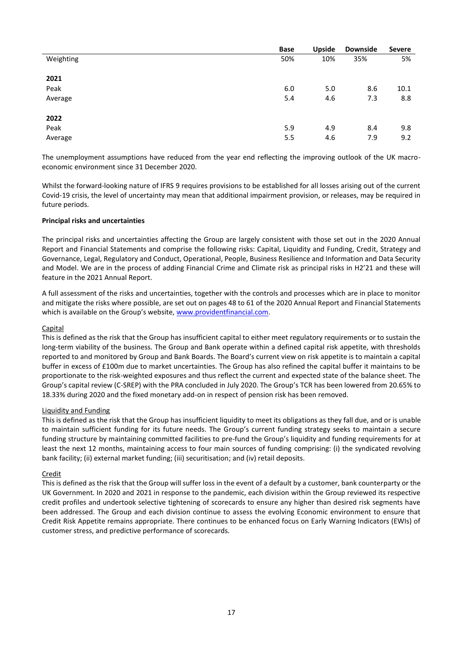|           | Base | <b>Upside</b> | <b>Downside</b> | <b>Severe</b> |
|-----------|------|---------------|-----------------|---------------|
| Weighting | 50%  | 10%           | 35%             | 5%            |
|           |      |               |                 |               |
| 2021      |      |               |                 |               |
| Peak      | 6.0  | 5.0           | 8.6             | 10.1          |
| Average   | 5.4  | 4.6           | 7.3             | 8.8           |
|           |      |               |                 |               |
| 2022      |      |               |                 |               |
| Peak      | 5.9  | 4.9           | 8.4             | 9.8           |
| Average   | 5.5  | 4.6           | 7.9             | 9.2           |

The unemployment assumptions have reduced from the year end reflecting the improving outlook of the UK macroeconomic environment since 31 December 2020.

Whilst the forward-looking nature of IFRS 9 requires provisions to be established for all losses arising out of the current Covid-19 crisis, the level of uncertainty may mean that additional impairment provision, or releases, may be required in future periods.

# **Principal risks and uncertainties**

The principal risks and uncertainties affecting the Group are largely consistent with those set out in the 2020 Annual Report and Financial Statements and comprise the following risks: Capital, Liquidity and Funding, Credit, Strategy and Governance, Legal, Regulatory and Conduct, Operational, People, Business Resilience and Information and Data Security and Model. We are in the process of adding Financial Crime and Climate risk as principal risks in H2'21 and these will feature in the 2021 Annual Report.

A full assessment of the risks and uncertainties, together with the controls and processes which are in place to monitor and mitigate the risks where possible, are set out on pages 48 to 61 of the 2020 Annual Report and Financial Statements which is available on the Group's website, www.providentfinancial.com.

#### **Capital**

This is defined as the risk that the Group has insufficient capital to either meet regulatory requirements or to sustain the long-term viability of the business. The Group and Bank operate within a defined capital risk appetite, with thresholds reported to and monitored by Group and Bank Boards. The Board's current view on risk appetite is to maintain a capital buffer in excess of £100m due to market uncertainties. The Group has also refined the capital buffer it maintains to be proportionate to the risk-weighted exposures and thus reflect the current and expected state of the balance sheet. The Group's capital review (C-SREP) with the PRA concluded in July 2020. The Group's TCR has been lowered from 20.65% to 18.33% during 2020 and the fixed monetary add-on in respect of pension risk has been removed.

#### Liquidity and Funding

This is defined as the risk that the Group has insufficient liquidity to meet its obligations as they fall due, and or is unable to maintain sufficient funding for its future needs. The Group's current funding strategy seeks to maintain a secure funding structure by maintaining committed facilities to pre-fund the Group's liquidity and funding requirements for at least the next 12 months, maintaining access to four main sources of funding comprising: (i) the syndicated revolving bank facility; (ii) external market funding; (iii) securitisation; and (iv) retail deposits.

#### Credit

This is defined as the risk that the Group will suffer loss in the event of a default by a customer, bank counterparty or the UK Government. In 2020 and 2021 in response to the pandemic, each division within the Group reviewed its respective credit profiles and undertook selective tightening of scorecards to ensure any higher than desired risk segments have been addressed. The Group and each division continue to assess the evolving Economic environment to ensure that Credit Risk Appetite remains appropriate. There continues to be enhanced focus on Early Warning Indicators (EWIs) of customer stress, and predictive performance of scorecards.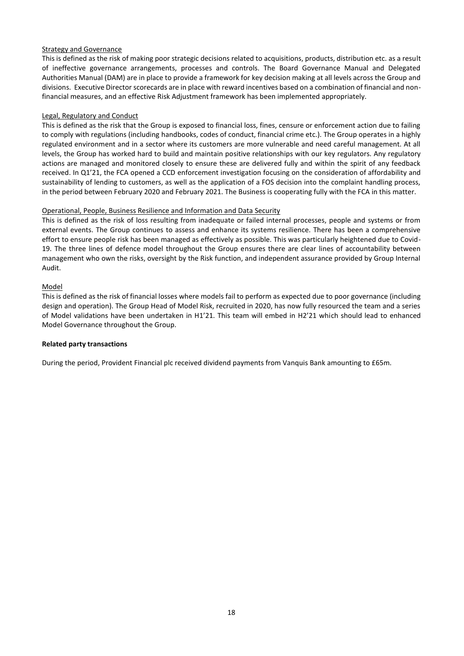# Strategy and Governance

This is defined as the risk of making poor strategic decisions related to acquisitions, products, distribution etc. as a result of ineffective governance arrangements, processes and controls. The Board Governance Manual and Delegated Authorities Manual (DAM) are in place to provide a framework for key decision making at all levels across the Group and divisions. Executive Director scorecards are in place with reward incentives based on a combination of financial and nonfinancial measures, and an effective Risk Adjustment framework has been implemented appropriately.

#### Legal, Regulatory and Conduct

This is defined as the risk that the Group is exposed to financial loss, fines, censure or enforcement action due to failing to comply with regulations (including handbooks, codes of conduct, financial crime etc.). The Group operates in a highly regulated environment and in a sector where its customers are more vulnerable and need careful management. At all levels, the Group has worked hard to build and maintain positive relationships with our key regulators. Any regulatory actions are managed and monitored closely to ensure these are delivered fully and within the spirit of any feedback received. In Q1'21, the FCA opened a CCD enforcement investigation focusing on the consideration of affordability and sustainability of lending to customers, as well as the application of a FOS decision into the complaint handling process, in the period between February 2020 and February 2021. The Business is cooperating fully with the FCA in this matter.

#### Operational, People, Business Resilience and Information and Data Security

This is defined as the risk of loss resulting from inadequate or failed internal processes, people and systems or from external events. The Group continues to assess and enhance its systems resilience. There has been a comprehensive effort to ensure people risk has been managed as effectively as possible. This was particularly heightened due to Covid-19. The three lines of defence model throughout the Group ensures there are clear lines of accountability between management who own the risks, oversight by the Risk function, and independent assurance provided by Group Internal Audit.

#### Model

This is defined as the risk of financial losses where models fail to perform as expected due to poor governance (including design and operation). The Group Head of Model Risk, recruited in 2020, has now fully resourced the team and a series of Model validations have been undertaken in H1'21. This team will embed in H2'21 which should lead to enhanced Model Governance throughout the Group.

#### **Related party transactions**

During the period, Provident Financial plc received dividend payments from Vanquis Bank amounting to £65m.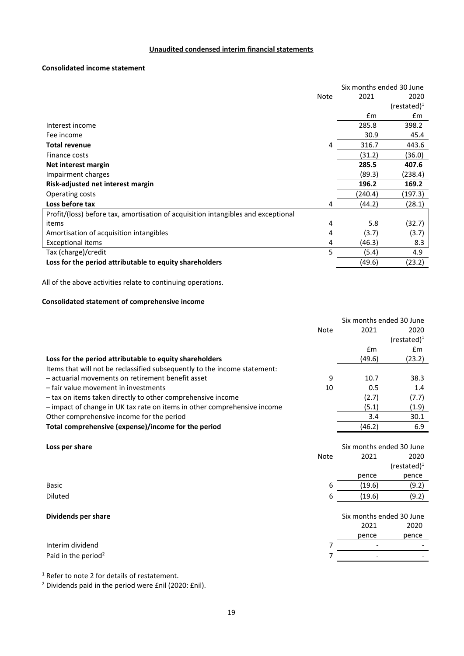# **Unaudited condensed interim financial statements**

# **Consolidated income statement**

|                                                                                   |      | Six months ended 30 June |                 |
|-----------------------------------------------------------------------------------|------|--------------------------|-----------------|
|                                                                                   | Note | 2021                     | 2020            |
|                                                                                   |      |                          | $(re stated)^1$ |
|                                                                                   |      | Em                       | £m              |
| Interest income                                                                   |      | 285.8                    | 398.2           |
| Fee income                                                                        |      | 30.9                     | 45.4            |
| <b>Total revenue</b>                                                              | 4    | 316.7                    | 443.6           |
| Finance costs                                                                     |      | (31.2)                   | (36.0)          |
| Net interest margin                                                               |      | 285.5                    | 407.6           |
| Impairment charges                                                                |      | (89.3)                   | (238.4)         |
| Risk-adjusted net interest margin                                                 |      | 196.2                    | 169.2           |
| Operating costs                                                                   |      | (240.4)                  | (197.3)         |
| Loss before tax                                                                   | 4    | (44.2)                   | (28.1)          |
| Profit/(loss) before tax, amortisation of acquisition intangibles and exceptional |      |                          |                 |
| items                                                                             | 4    | 5.8                      | (32.7)          |
| Amortisation of acquisition intangibles                                           | 4    | (3.7)                    | (3.7)           |
| Exceptional items                                                                 | 4    | (46.3)                   | 8.3             |
| Tax (charge)/credit                                                               | 5    | (5.4)                    | 4.9             |
| Loss for the period attributable to equity shareholders                           |      | (49.6)                   | (23.2)          |

All of the above activities relate to continuing operations.

# **Consolidated statement of comprehensive income**

|                                                                           |             | Six months ended 30 June |                 |
|---------------------------------------------------------------------------|-------------|--------------------------|-----------------|
|                                                                           | <b>Note</b> | 2021                     | 2020            |
|                                                                           |             |                          | $(re stated)^1$ |
|                                                                           |             | £m                       | £m              |
| Loss for the period attributable to equity shareholders                   |             | (49.6)                   | (23.2)          |
| Items that will not be reclassified subsequently to the income statement: |             |                          |                 |
| - actuarial movements on retirement benefit asset                         | 9           | 10.7                     | 38.3            |
| - fair value movement in investments                                      | 10          | 0.5                      | 1.4             |
| - tax on items taken directly to other comprehensive income               |             | (2.7)                    | (7.7)           |
| - impact of change in UK tax rate on items in other comprehensive income  |             | (5.1)                    | (1.9)           |
| Other comprehensive income for the period                                 |             | 3.4                      | 30.1            |
| Total comprehensive (expense)/income for the period                       |             | (46.2)                   | 6.9             |
|                                                                           |             |                          |                 |
| Loss per share                                                            |             | Six months ended 30 June |                 |
|                                                                           | <b>Note</b> | 2021                     | 2020            |
|                                                                           |             |                          | $(re stated)^1$ |
|                                                                           |             | pence                    | pence           |
| Basic                                                                     | 6           | (19.6)                   | (9.2)           |
| <b>Diluted</b>                                                            | 6           | (19.6)                   | (9.2)           |
|                                                                           |             |                          |                 |
| Dividends per share                                                       |             | Six months ended 30 June |                 |
|                                                                           |             | 2021                     | 2020            |

|                                 | pence                    | pence |
|---------------------------------|--------------------------|-------|
| Interim dividend                | $\overline{\phantom{0}}$ |       |
| Paid in the period <sup>2</sup> | $\overline{\phantom{0}}$ |       |
|                                 |                          |       |

<sup>1</sup> Refer to note 2 for details of restatement.

<sup>2</sup> Dividends paid in the period were £nil (2020: £nil).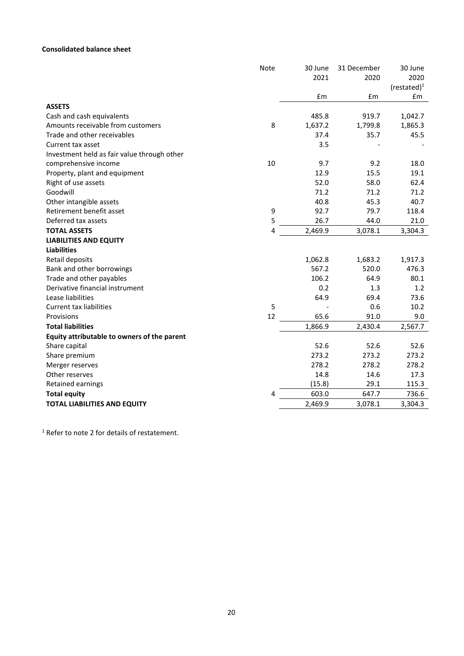# **Consolidated balance sheet**

|                                             | <b>Note</b> | 30 June | 31 December | 30 June        |
|---------------------------------------------|-------------|---------|-------------|----------------|
|                                             |             | 2021    | 2020        | 2020           |
|                                             |             |         |             | (restated) $1$ |
|                                             |             | £m      | £m          | £m             |
| <b>ASSETS</b>                               |             |         |             |                |
| Cash and cash equivalents                   |             | 485.8   | 919.7       | 1,042.7        |
| Amounts receivable from customers           | 8           | 1,637.2 | 1,799.8     | 1,865.3        |
| Trade and other receivables                 |             | 37.4    | 35.7        | 45.5           |
| Current tax asset                           |             | 3.5     |             |                |
| Investment held as fair value through other |             |         |             |                |
| comprehensive income                        | 10          | 9.7     | 9.2         | 18.0           |
| Property, plant and equipment               |             | 12.9    | 15.5        | 19.1           |
| Right of use assets                         |             | 52.0    | 58.0        | 62.4           |
| Goodwill                                    |             | 71.2    | 71.2        | 71.2           |
| Other intangible assets                     |             | 40.8    | 45.3        | 40.7           |
| Retirement benefit asset                    | 9           | 92.7    | 79.7        | 118.4          |
| Deferred tax assets                         | 5           | 26.7    | 44.0        | 21.0           |
| <b>TOTAL ASSETS</b>                         | 4           | 2,469.9 | 3,078.1     | 3,304.3        |
| <b>LIABILITIES AND EQUITY</b>               |             |         |             |                |
| <b>Liabilities</b>                          |             |         |             |                |
| Retail deposits                             |             | 1,062.8 | 1,683.2     | 1,917.3        |
| Bank and other borrowings                   |             | 567.2   | 520.0       | 476.3          |
| Trade and other payables                    |             | 106.2   | 64.9        | 80.1           |
| Derivative financial instrument             |             | 0.2     | 1.3         | 1.2            |
| Lease liabilities                           |             | 64.9    | 69.4        | 73.6           |
| <b>Current tax liabilities</b>              | 5           |         | 0.6         | 10.2           |
| Provisions                                  | 12          | 65.6    | 91.0        | 9.0            |
| <b>Total liabilities</b>                    |             | 1,866.9 | 2,430.4     | 2,567.7        |
| Equity attributable to owners of the parent |             |         |             |                |
| Share capital                               |             | 52.6    | 52.6        | 52.6           |
| Share premium                               |             | 273.2   | 273.2       | 273.2          |
| Merger reserves                             |             | 278.2   | 278.2       | 278.2          |
| Other reserves                              |             | 14.8    | 14.6        | 17.3           |
| Retained earnings                           |             | (15.8)  | 29.1        | 115.3          |
| <b>Total equity</b>                         | 4           | 603.0   | 647.7       | 736.6          |
| <b>TOTAL LIABILITIES AND EQUITY</b>         |             | 2,469.9 | 3,078.1     | 3,304.3        |
|                                             |             |         |             |                |

<sup>1</sup> Refer to note 2 for details of restatement.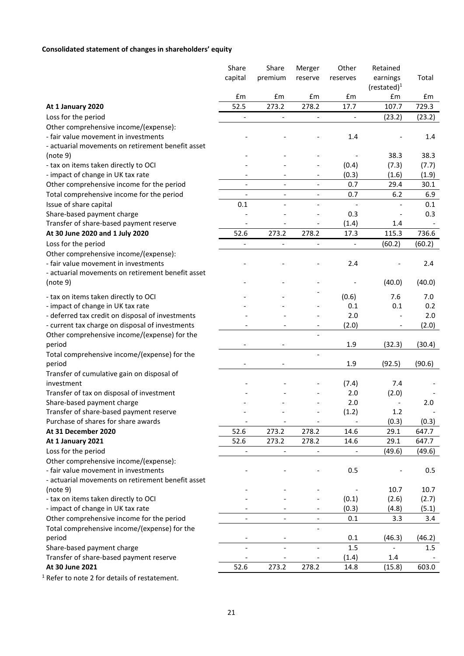# **Consolidated statement of changes in shareholders' equity**

|                                                   | Share                        | Share                        | Merger                       | Other                        | Retained           |        |
|---------------------------------------------------|------------------------------|------------------------------|------------------------------|------------------------------|--------------------|--------|
|                                                   | capital                      | premium                      | reserve                      | reserves                     | earnings           | Total  |
|                                                   | £m                           | £m                           | £m                           | £m                           | $(rested)^1$<br>£m | £m     |
| At 1 January 2020                                 | 52.5                         | 273.2                        | 278.2                        | 17.7                         | 107.7              | 729.3  |
| Loss for the period                               | $\qquad \qquad -$            | $\qquad \qquad \blacksquare$ | $\qquad \qquad -$            |                              | (23.2)             | (23.2) |
| Other comprehensive income/(expense):             |                              |                              |                              |                              |                    |        |
| - fair value movement in investments              |                              |                              |                              | 1.4                          |                    | 1.4    |
| - actuarial movements on retirement benefit asset |                              |                              |                              |                              |                    |        |
| (note 9)                                          |                              |                              |                              |                              | 38.3               | 38.3   |
| - tax on items taken directly to OCI              |                              |                              |                              | (0.4)                        | (7.3)              | (7.7)  |
| - impact of change in UK tax rate                 |                              |                              |                              | (0.3)                        | (1.6)              | (1.9)  |
| Other comprehensive income for the period         |                              |                              |                              | 0.7                          | 29.4               | 30.1   |
| Total comprehensive income for the period         | $\qquad \qquad \blacksquare$ | $\qquad \qquad \blacksquare$ | $\qquad \qquad \blacksquare$ | 0.7                          | 6.2                | 6.9    |
| Issue of share capital                            | 0.1                          |                              |                              |                              |                    | 0.1    |
| Share-based payment charge                        |                              |                              |                              | 0.3                          |                    | 0.3    |
| Transfer of share-based payment reserve           |                              |                              |                              | (1.4)                        | 1.4                |        |
| At 30 June 2020 and 1 July 2020                   | 52.6                         | 273.2                        | 278.2                        | 17.3                         | 115.3              | 736.6  |
| Loss for the period                               | $\overline{\phantom{a}}$     | $\qquad \qquad -$            | $\overline{\phantom{a}}$     | $\qquad \qquad \blacksquare$ | (60.2)             | (60.2) |
| Other comprehensive income/(expense):             |                              |                              |                              |                              |                    |        |
| - fair value movement in investments              |                              |                              |                              | 2.4                          |                    |        |
| - actuarial movements on retirement benefit asset |                              |                              |                              |                              |                    | 2.4    |
| (note 9)                                          |                              |                              |                              |                              | (40.0)             | (40.0) |
|                                                   |                              |                              |                              |                              |                    |        |
| - tax on items taken directly to OCI              |                              |                              |                              | (0.6)                        | 7.6                | 7.0    |
| - impact of change in UK tax rate                 |                              |                              |                              | 0.1                          | 0.1                | 0.2    |
| - deferred tax credit on disposal of investments  |                              |                              |                              | 2.0                          |                    | 2.0    |
| - current tax charge on disposal of investments   |                              |                              |                              | (2.0)                        |                    | (2.0)  |
| Other comprehensive income/(expense) for the      |                              |                              |                              |                              |                    |        |
| period                                            |                              | $\overline{\phantom{a}}$     |                              | 1.9                          | (32.3)             | (30.4) |
| Total comprehensive income/(expense) for the      |                              |                              | $\overline{a}$               |                              |                    |        |
| period                                            |                              |                              |                              | 1.9                          | (92.5)             | (90.6) |
| Transfer of cumulative gain on disposal of        |                              |                              |                              |                              |                    |        |
| investment                                        |                              |                              |                              | (7.4)                        | 7.4                |        |
| Transfer of tax on disposal of investment         |                              |                              |                              | 2.0                          | (2.0)              |        |
| Share-based payment charge                        |                              |                              |                              | 2.0                          |                    | 2.0    |
| Transfer of share-based payment reserve           |                              |                              |                              | (1.2)                        | 1.2                |        |
| Purchase of shares for share awards               |                              | $\overline{\phantom{a}}$     | $\overline{\phantom{a}}$     |                              | (0.3)              | (0.3)  |
| At 31 December 2020                               | 52.6                         | 273.2                        | 278.2                        | 14.6                         | 29.1               | 647.7  |
| At 1 January 2021                                 | 52.6                         | 273.2                        | 278.2                        | 14.6                         | 29.1               | 647.7  |
| Loss for the period                               |                              |                              |                              |                              | (49.6)             | (49.6) |
| Other comprehensive income/(expense):             |                              |                              |                              |                              |                    |        |
| - fair value movement in investments              |                              |                              |                              | 0.5                          |                    | 0.5    |
| - actuarial movements on retirement benefit asset |                              |                              |                              |                              |                    |        |
| (note 9)                                          |                              |                              |                              |                              | 10.7               | 10.7   |
| - tax on items taken directly to OCI              |                              |                              |                              | (0.1)                        | (2.6)              | (2.7)  |
| - impact of change in UK tax rate                 |                              |                              |                              | (0.3)                        | (4.8)              | (5.1)  |
| Other comprehensive income for the period         |                              |                              | $\overline{a}$               | 0.1                          | 3.3                | 3.4    |
| Total comprehensive income/(expense) for the      |                              |                              | $\overline{a}$               |                              |                    |        |
| period                                            | -                            | $\overline{\phantom{a}}$     |                              | 0.1                          | (46.3)             | (46.2) |
| Share-based payment charge                        | $\overline{\phantom{a}}$     | $\overline{\phantom{a}}$     | $\qquad \qquad \blacksquare$ | $1.5\,$                      |                    | 1.5    |
| Transfer of share-based payment reserve           |                              |                              |                              | (1.4)                        | 1.4                |        |
| At 30 June 2021                                   | 52.6                         | 273.2                        | 278.2                        | 14.8                         | (15.8)             | 603.0  |

<sup>1</sup> Refer to note 2 for details of restatement.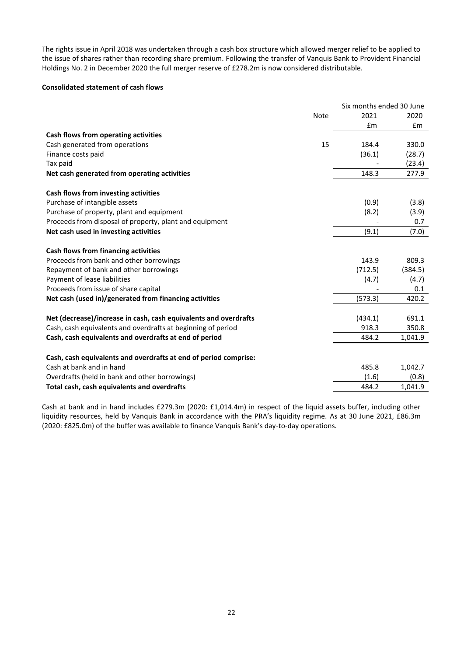The rights issue in April 2018 was undertaken through a cash box structure which allowed merger relief to be applied to the issue of shares rather than recording share premium. Following the transfer of Vanquis Bank to Provident Financial Holdings No. 2 in December 2020 the full merger reserve of £278.2m is now considered distributable.

#### **Consolidated statement of cash flows**

|                                                                  |             | Six months ended 30 June |         |
|------------------------------------------------------------------|-------------|--------------------------|---------|
|                                                                  | <b>Note</b> | 2021                     | 2020    |
|                                                                  |             | £m                       | £m      |
| Cash flows from operating activities                             |             |                          |         |
| Cash generated from operations                                   | 15          | 184.4                    | 330.0   |
| Finance costs paid                                               |             | (36.1)                   | (28.7)  |
| Tax paid                                                         |             |                          | (23.4)  |
| Net cash generated from operating activities                     |             | 148.3                    | 277.9   |
| Cash flows from investing activities                             |             |                          |         |
| Purchase of intangible assets                                    |             | (0.9)                    | (3.8)   |
| Purchase of property, plant and equipment                        |             | (8.2)                    | (3.9)   |
| Proceeds from disposal of property, plant and equipment          |             |                          | 0.7     |
| Net cash used in investing activities                            |             | (9.1)                    | (7.0)   |
| Cash flows from financing activities                             |             |                          |         |
| Proceeds from bank and other borrowings                          |             | 143.9                    | 809.3   |
| Repayment of bank and other borrowings                           |             | (712.5)                  | (384.5) |
| Payment of lease liabilities                                     |             | (4.7)                    | (4.7)   |
| Proceeds from issue of share capital                             |             |                          | 0.1     |
| Net cash (used in)/generated from financing activities           |             | (573.3)                  | 420.2   |
|                                                                  |             |                          |         |
| Net (decrease)/increase in cash, cash equivalents and overdrafts |             | (434.1)                  | 691.1   |
| Cash, cash equivalents and overdrafts at beginning of period     |             | 918.3                    | 350.8   |
| Cash, cash equivalents and overdrafts at end of period           |             | 484.2                    | 1,041.9 |
|                                                                  |             |                          |         |
| Cash, cash equivalents and overdrafts at end of period comprise: |             |                          |         |
| Cash at bank and in hand                                         |             | 485.8                    | 1,042.7 |
| Overdrafts (held in bank and other borrowings)                   |             | (1.6)                    | (0.8)   |
| Total cash, cash equivalents and overdrafts                      |             | 484.2                    | 1,041.9 |

Cash at bank and in hand includes £279.3m (2020: £1,014.4m) in respect of the liquid assets buffer, including other liquidity resources, held by Vanquis Bank in accordance with the PRA's liquidity regime. As at 30 June 2021, £86.3m (2020: £825.0m) of the buffer was available to finance Vanquis Bank's day-to-day operations.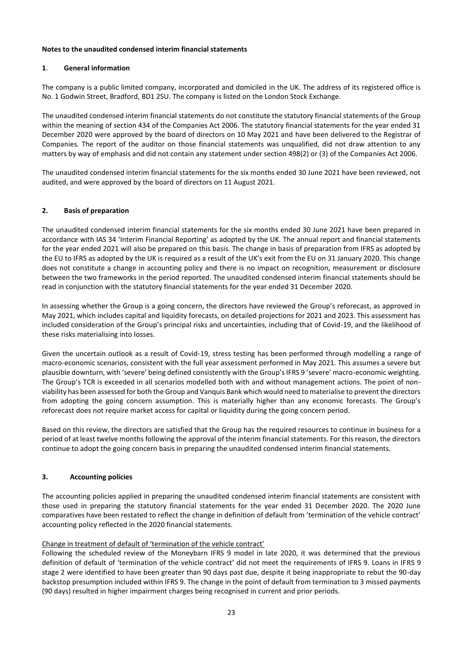# **Notes to the unaudited condensed interim financial statements**

# **1**. **General information**

The company is a public limited company, incorporated and domiciled in the UK. The address of its registered office is No. 1 Godwin Street, Bradford, BD1 2SU. The company is listed on the London Stock Exchange.

The unaudited condensed interim financial statements do not constitute the statutory financial statements of the Group within the meaning of section 434 of the Companies Act 2006. The statutory financial statements for the year ended 31 December 2020 were approved by the board of directors on 10 May 2021 and have been delivered to the Registrar of Companies. The report of the auditor on those financial statements was unqualified, did not draw attention to any matters by way of emphasis and did not contain any statement under section 498(2) or (3) of the Companies Act 2006.

The unaudited condensed interim financial statements for the six months ended 30 June 2021 have been reviewed, not audited, and were approved by the board of directors on 11 August 2021.

# **2. Basis of preparation**

The unaudited condensed interim financial statements for the six months ended 30 June 2021 have been prepared in accordance with IAS 34 'Interim Financial Reporting' as adopted by the UK. The annual report and financial statements for the year ended 2021 will also be prepared on this basis. The change in basis of preparation from IFRS as adopted by the EU to IFRS as adopted by the UK is required as a result of the UK's exit from the EU on 31 January 2020. This change does not constitute a change in accounting policy and there is no impact on recognition, measurement or disclosure between the two frameworks in the period reported. The unaudited condensed interim financial statements should be read in conjunction with the statutory financial statements for the year ended 31 December 2020.

In assessing whether the Group is a going concern, the directors have reviewed the Group's reforecast, as approved in May 2021, which includes capital and liquidity forecasts, on detailed projections for 2021 and 2023. This assessment has included consideration of the Group's principal risks and uncertainties, including that of Covid-19, and the likelihood of these risks materialising into losses.

Given the uncertain outlook as a result of Covid-19, stress testing has been performed through modelling a range of macro-economic scenarios, consistent with the full year assessment performed in May 2021. This assumes a severe but plausible downturn, with 'severe' being defined consistently with the Group's IFRS 9 'severe' macro-economic weighting. The Group's TCR is exceeded in all scenarios modelled both with and without management actions. The point of nonviability has been assessed for both the Group and Vanquis Bank which would need to materialise to prevent the directors from adopting the going concern assumption. This is materially higher than any economic forecasts. The Group's reforecast does not require market access for capital or liquidity during the going concern period.

Based on this review, the directors are satisfied that the Group has the required resources to continue in business for a period of at least twelve months following the approval of the interim financial statements. For this reason, the directors continue to adopt the going concern basis in preparing the unaudited condensed interim financial statements.

# **3. Accounting policies**

The accounting policies applied in preparing the unaudited condensed interim financial statements are consistent with those used in preparing the statutory financial statements for the year ended 31 December 2020. The 2020 June comparatives have been restated to reflect the change in definition of default from 'termination of the vehicle contract' accounting policy reflected in the 2020 financial statements.

# Change in treatment of default of 'termination of the vehicle contract'

Following the scheduled review of the Moneybarn IFRS 9 model in late 2020, it was determined that the previous definition of default of 'termination of the vehicle contract' did not meet the requirements of IFRS 9. Loans in IFRS 9 stage 2 were identified to have been greater than 90 days past due, despite it being inappropriate to rebut the 90-day backstop presumption included within IFRS 9. The change in the point of default from termination to 3 missed payments (90 days) resulted in higher impairment charges being recognised in current and prior periods.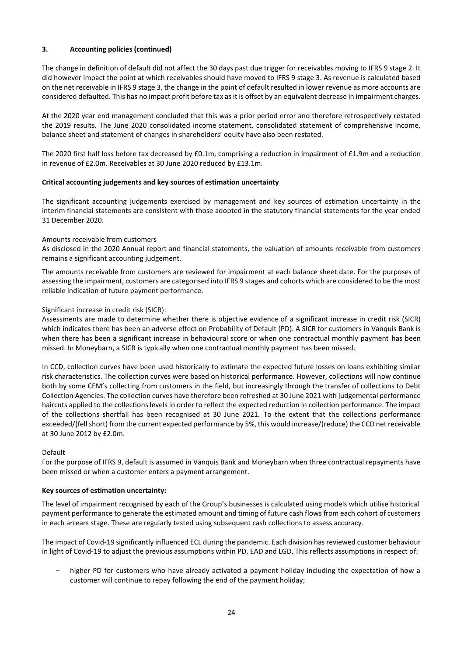# **3. Accounting policies (continued)**

The change in definition of default did not affect the 30 days past due trigger for receivables moving to IFRS 9 stage 2. It did however impact the point at which receivables should have moved to IFRS 9 stage 3. As revenue is calculated based on the net receivable in IFRS 9 stage 3, the change in the point of default resulted in lower revenue as more accounts are considered defaulted. This has no impact profit before tax as it is offset by an equivalent decrease in impairment charges.

At the 2020 year end management concluded that this was a prior period error and therefore retrospectively restated the 2019 results. The June 2020 consolidated income statement, consolidated statement of comprehensive income, balance sheet and statement of changes in shareholders' equity have also been restated.

The 2020 first half loss before tax decreased by £0.1m, comprising a reduction in impairment of £1.9m and a reduction in revenue of £2.0m. Receivables at 30 June 2020 reduced by £13.1m.

# **Critical accounting judgements and key sources of estimation uncertainty**

The significant accounting judgements exercised by management and key sources of estimation uncertainty in the interim financial statements are consistent with those adopted in the statutory financial statements for the year ended 31 December 2020.

# Amounts receivable from customers

As disclosed in the 2020 Annual report and financial statements, the valuation of amounts receivable from customers remains a significant accounting judgement.

The amounts receivable from customers are reviewed for impairment at each balance sheet date. For the purposes of assessing the impairment, customers are categorised into IFRS 9 stages and cohorts which are considered to be the most reliable indication of future payment performance.

# Significant increase in credit risk (SICR):

Assessments are made to determine whether there is objective evidence of a significant increase in credit risk (SICR) which indicates there has been an adverse effect on Probability of Default (PD). A SICR for customers in Vanquis Bank is when there has been a significant increase in behavioural score or when one contractual monthly payment has been missed. In Moneybarn, a SICR is typically when one contractual monthly payment has been missed.

In CCD, collection curves have been used historically to estimate the expected future losses on loans exhibiting similar risk characteristics. The collection curves were based on historical performance. However, collections will now continue both by some CEM's collecting from customers in the field, but increasingly through the transfer of collections to Debt Collection Agencies. The collection curves have therefore been refreshed at 30 June 2021 with judgemental performance haircuts applied to the collections levels in order to reflect the expected reduction in collection performance. The impact of the collections shortfall has been recognised at 30 June 2021. To the extent that the collections performance exceeded/(fell short) from the current expected performance by 5%, this would increase/(reduce) the CCD net receivable at 30 June 2012 by £2.0m.

# Default

For the purpose of IFRS 9, default is assumed in Vanquis Bank and Moneybarn when three contractual repayments have been missed or when a customer enters a payment arrangement.

# **Key sources of estimation uncertainty:**

The level of impairment recognised by each of the Group's businesses is calculated using models which utilise historical payment performance to generate the estimated amount and timing of future cash flows from each cohort of customers in each arrears stage. These are regularly tested using subsequent cash collections to assess accuracy.

The impact of Covid-19 significantly influenced ECL during the pandemic. Each division has reviewed customer behaviour in light of Covid-19 to adjust the previous assumptions within PD, EAD and LGD. This reflects assumptions in respect of:

higher PD for customers who have already activated a payment holiday including the expectation of how a customer will continue to repay following the end of the payment holiday;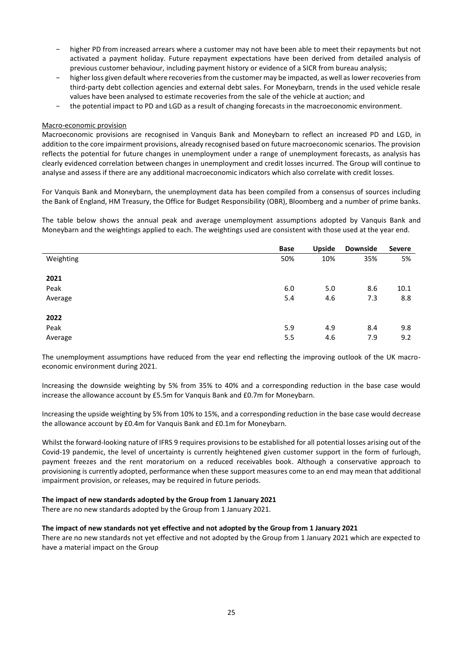- higher PD from increased arrears where a customer may not have been able to meet their repayments but not activated a payment holiday. Future repayment expectations have been derived from detailed analysis of previous customer behaviour, including payment history or evidence of a SICR from bureau analysis;
- higher loss given default where recoveries from the customer may be impacted, as well as lower recoveries from third-party debt collection agencies and external debt sales. For Moneybarn, trends in the used vehicle resale values have been analysed to estimate recoveries from the sale of the vehicle at auction; and
- − the potential impact to PD and LGD as a result of changing forecasts in the macroeconomic environment.

# Macro-economic provision

Macroeconomic provisions are recognised in Vanquis Bank and Moneybarn to reflect an increased PD and LGD, in addition to the core impairment provisions, already recognised based on future macroeconomic scenarios. The provision reflects the potential for future changes in unemployment under a range of unemployment forecasts, as analysis has clearly evidenced correlation between changes in unemployment and credit losses incurred. The Group will continue to analyse and assess if there are any additional macroeconomic indicators which also correlate with credit losses.

For Vanquis Bank and Moneybarn, the unemployment data has been compiled from a consensus of sources including the Bank of England, HM Treasury, the Office for Budget Responsibility (OBR), Bloomberg and a number of prime banks.

The table below shows the annual peak and average unemployment assumptions adopted by Vanquis Bank and Moneybarn and the weightings applied to each. The weightings used are consistent with those used at the year end.

|           | Base | <b>Upside</b> | <b>Downside</b> | <b>Severe</b> |
|-----------|------|---------------|-----------------|---------------|
| Weighting | 50%  | 10%           | 35%             | 5%            |
|           |      |               |                 |               |
| 2021      |      |               |                 |               |
| Peak      | 6.0  | 5.0           | 8.6             | 10.1          |
| Average   | 5.4  | 4.6           | 7.3             | 8.8           |
|           |      |               |                 |               |
| 2022      |      |               |                 |               |
| Peak      | 5.9  | 4.9           | 8.4             | 9.8           |
| Average   | 5.5  | 4.6           | 7.9             | 9.2           |

The unemployment assumptions have reduced from the year end reflecting the improving outlook of the UK macroeconomic environment during 2021.

Increasing the downside weighting by 5% from 35% to 40% and a corresponding reduction in the base case would increase the allowance account by £5.5m for Vanquis Bank and £0.7m for Moneybarn.

Increasing the upside weighting by 5% from 10% to 15%, and a corresponding reduction in the base case would decrease the allowance account by £0.4m for Vanquis Bank and £0.1m for Moneybarn.

Whilst the forward-looking nature of IFRS 9 requires provisions to be established for all potential losses arising out of the Covid-19 pandemic, the level of uncertainty is currently heightened given customer support in the form of furlough, payment freezes and the rent moratorium on a reduced receivables book. Although a conservative approach to provisioning is currently adopted, performance when these support measures come to an end may mean that additional impairment provision, or releases, may be required in future periods.

# **The impact of new standards adopted by the Group from 1 January 2021**

There are no new standards adopted by the Group from 1 January 2021.

# **The impact of new standards not yet effective and not adopted by the Group from 1 January 2021**

There are no new standards not yet effective and not adopted by the Group from 1 January 2021 which are expected to have a material impact on the Group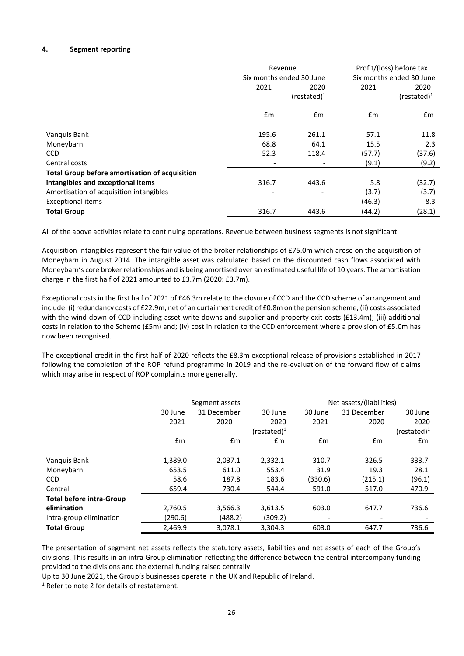# **4. Segment reporting**

|                                                       | Revenue<br>Six months ended 30 June |                              | Profit/(loss) before tax<br>Six months ended 30 June |                        |
|-------------------------------------------------------|-------------------------------------|------------------------------|------------------------------------------------------|------------------------|
|                                                       | 2021                                | 2020<br>$(rested)^1$         | 2021                                                 | 2020<br>$(restated)^1$ |
|                                                       | £m                                  | £m                           | £m                                                   | £m                     |
|                                                       |                                     |                              |                                                      |                        |
| Vanquis Bank                                          | 195.6                               | 261.1                        | 57.1                                                 | 11.8                   |
| Moneybarn                                             | 68.8                                | 64.1                         | 15.5                                                 | 2.3                    |
| <b>CCD</b>                                            | 52.3                                | 118.4                        | (57.7)                                               | (37.6)                 |
| Central costs                                         |                                     |                              | (9.1)                                                | (9.2)                  |
| <b>Total Group before amortisation of acquisition</b> |                                     |                              |                                                      |                        |
| intangibles and exceptional items                     | 316.7                               | 443.6                        | 5.8                                                  | (32.7)                 |
| Amortisation of acquisition intangibles               |                                     | $\qquad \qquad \blacksquare$ | (3.7)                                                | (3.7)                  |
| <b>Exceptional items</b>                              |                                     | $\qquad \qquad \blacksquare$ | (46.3)                                               | 8.3                    |
| <b>Total Group</b>                                    | 316.7                               | 443.6                        | (44.2)                                               | (28.1)                 |

All of the above activities relate to continuing operations. Revenue between business segments is not significant.

Acquisition intangibles represent the fair value of the broker relationships of £75.0m which arose on the acquisition of Moneybarn in August 2014. The intangible asset was calculated based on the discounted cash flows associated with Moneybarn's core broker relationships and is being amortised over an estimated useful life of 10 years. The amortisation charge in the first half of 2021 amounted to £3.7m (2020: £3.7m).

Exceptional costs in the first half of 2021 of £46.3m relate to the closure of CCD and the CCD scheme of arrangement and include: (i) redundancy costs of £22.9m, net of an curtailment credit of £0.8m on the pension scheme; (ii) costs associated with the wind down of CCD including asset write downs and supplier and property exit costs (£13.4m); (iii) additional costs in relation to the Scheme (£5m) and; (iv) cost in relation to the CCD enforcement where a provision of £5.0m has now been recognised.

The exceptional credit in the first half of 2020 reflects the £8.3m exceptional release of provisions established in 2017 following the completion of the ROP refund programme in 2019 and the re-evaluation of the forward flow of claims which may arise in respect of ROP complaints more generally.

|                                 | Segment assets |             |                 |         | Net assets/(liabilities) |                 |  |  |
|---------------------------------|----------------|-------------|-----------------|---------|--------------------------|-----------------|--|--|
|                                 | 30 June        | 31 December | 30 June         | 30 June | 31 December              | 30 June         |  |  |
|                                 | 2021           | 2020        | 2020            | 2021    | 2020                     | 2020            |  |  |
|                                 |                |             | $(re stated)^1$ |         |                          | $(re stated)^1$ |  |  |
|                                 | Em             | £m          | Em              | £m      | £m                       | £m              |  |  |
|                                 |                |             |                 |         |                          |                 |  |  |
| Vanquis Bank                    | 1,389.0        | 2,037.1     | 2,332.1         | 310.7   | 326.5                    | 333.7           |  |  |
| Moneybarn                       | 653.5          | 611.0       | 553.4           | 31.9    | 19.3                     | 28.1            |  |  |
| <b>CCD</b>                      | 58.6           | 187.8       | 183.6           | (330.6) | (215.1)                  | (96.1)          |  |  |
| Central                         | 659.4          | 730.4       | 544.4           | 591.0   | 517.0                    | 470.9           |  |  |
| <b>Total before intra-Group</b> |                |             |                 |         |                          |                 |  |  |
| elimination                     | 2,760.5        | 3,566.3     | 3,613.5         | 603.0   | 647.7                    | 736.6           |  |  |
| Intra-group elimination         | (290.6)        | (488.2)     | (309.2)         |         |                          |                 |  |  |
| <b>Total Group</b>              | 2,469.9        | 3.078.1     | 3,304.3         | 603.0   | 647.7                    | 736.6           |  |  |

The presentation of segment net assets reflects the statutory assets, liabilities and net assets of each of the Group's divisions. This results in an intra Group elimination reflecting the difference between the central intercompany funding provided to the divisions and the external funding raised centrally.

Up to 30 June 2021, the Group's businesses operate in the UK and Republic of Ireland.

<sup>1</sup> Refer to note 2 for details of restatement.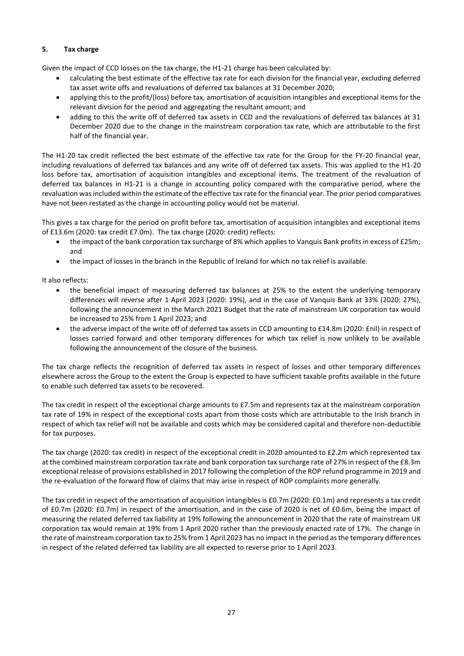# **5. Tax charge**

Given the impact of CCD losses on the tax charge, the H1-21 charge has been calculated by:

- calculating the best estimate of the effective tax rate for each division for the financial year, excluding deferred tax asset write offs and revaluations of deferred tax balances at 31 December 2020;
- applying this to the profit/(loss) before tax, amortisation of acquisition intangibles and exceptional items for the relevant division for the period and aggregating the resultant amount; and
- adding to this the write off of deferred tax assets in CCD and the revaluations of deferred tax balances at 31 December 2020 due to the change in the mainstream corporation tax rate, which are attributable to the first half of the financial year.

The H1-20 tax credit reflected the best estimate of the effective tax rate for the Group for the FY-20 financial year, including revaluations of deferred tax balances and any write off of deferred tax assets. This was applied to the H1-20 loss before tax, amortisation of acquisition intangibles and exceptional items. The treatment of the revaluation of deferred tax balances in H1-21 is a change in accounting policy compared with the comparative period, where the revaluation was included within the estimate of the effective tax rate for the financial year. The prior period comparatives have not been restated as the change in accounting policy would not be material.

This gives a tax charge for the period on profit before tax, amortisation of acquisition intangibles and exceptional items of £13.6m (2020: tax credit £7.0m). The tax charge (2020: credit) reflects:

- the impact of the bank corporation tax surcharge of 8% which applies to Vanquis Bank profits in excess of £25m; and
- the impact of losses in the branch in the Republic of Ireland for which no tax relief is available.

It also reflects:

- the beneficial impact of measuring deferred tax balances at 25% to the extent the underlying temporary differences will reverse after 1 April 2023 (2020: 19%), and in the case of Vanquis Bank at 33% (2020: 27%), following the announcement in the March 2021 Budget that the rate of mainstream UK corporation tax would be increased to 25% from 1 April 2023; and
- the adverse impact of the write off of deferred tax assets in CCD amounting to £14.8m (2020: £nil) in respect of losses carried forward and other temporary differences for which tax relief is now unlikely to be available following the announcement of the closure of the business.

The tax charge reflects the recognition of deferred tax assets in respect of losses and other temporary differences elsewhere across the Group to the extent the Group is expected to have sufficient taxable profits available in the future to enable such deferred tax assets to be recovered.

The tax credit in respect of the exceptional charge amounts to £7.5m and represents tax at the mainstream corporation tax rate of 19% in respect of the exceptional costs apart from those costs which are attributable to the Irish branch in respect of which tax relief will not be available and costs which may be considered capital and therefore non-deductible for tax purposes.

The tax charge (2020: tax credit) in respect of the exceptional credit in 2020 amounted to £2.2m which represented tax at the combined mainstream corporation tax rate and bank corporation tax surcharge rate of 27% in respect of the £8.3m exceptional release of provisions established in 2017 following the completion of the ROP refund programme in 2019 and the re-evaluation of the forward flow of claims that may arise in respect of ROP complaints more generally.

The tax credit in respect of the amortisation of acquisition intangibles is £0.7m (2020: £0.1m) and represents a tax credit of £0.7m (2020: £0.7m) in respect of the amortisation, and in the case of 2020 is net of £0.6m, being the impact of measuring the related deferred tax liability at 19% following the announcement in 2020 that the rate of mainstream UK corporation tax would remain at 19% from 1 April 2020 rather than the previously enacted rate of 17%. The change in the rate of mainstream corporation tax to 25% from 1 April 2023 has no impact in the period as the temporary differences in respect of the related deferred tax liability are all expected to reverse prior to 1 April 2023.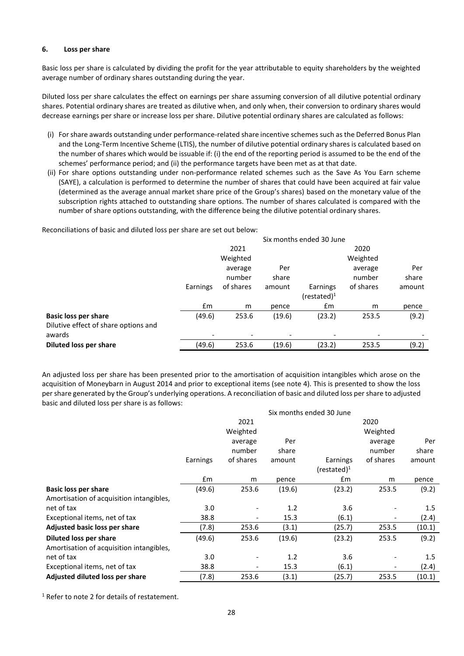#### **6. Loss per share**

Basic loss per share is calculated by dividing the profit for the year attributable to equity shareholders by the weighted average number of ordinary shares outstanding during the year.

Diluted loss per share calculates the effect on earnings per share assuming conversion of all dilutive potential ordinary shares. Potential ordinary shares are treated as dilutive when, and only when, their conversion to ordinary shares would decrease earnings per share or increase loss per share. Dilutive potential ordinary shares are calculated as follows:

- (i) For share awards outstanding under performance-related share incentive schemes such as the Deferred Bonus Plan and the Long-Term Incentive Scheme (LTIS), the number of dilutive potential ordinary shares is calculated based on the number of shares which would be issuable if: (i) the end of the reporting period is assumed to be the end of the schemes' performance period; and (ii) the performance targets have been met as at that date.
- (ii) For share options outstanding under non-performance related schemes such as the Save As You Earn scheme (SAYE), a calculation is performed to determine the number of shares that could have been acquired at fair value (determined as the average annual market share price of the Group's shares) based on the monetary value of the subscription rights attached to outstanding share options. The number of shares calculated is compared with the number of share options outstanding, with the difference being the dilutive potential ordinary shares.

Reconciliations of basic and diluted loss per share are set out below:

|                                      | Six months ended 30 June |                          |        |                          |           |        |
|--------------------------------------|--------------------------|--------------------------|--------|--------------------------|-----------|--------|
|                                      |                          | 2021                     |        |                          | 2020      |        |
|                                      |                          | Weighted                 |        |                          | Weighted  |        |
|                                      |                          | average                  | Per    |                          | average   | Per    |
|                                      |                          | number                   | share  |                          | number    | share  |
|                                      | Earnings                 | of shares                | amount | Earnings                 | of shares | amount |
|                                      |                          |                          |        | (restated) $1$           |           |        |
|                                      | £m                       | m                        | pence  | $\mathsf{fm}$            | m         | pence  |
| <b>Basic loss per share</b>          | (49.6)                   | 253.6                    | (19.6) | (23.2)                   | 253.5     | (9.2)  |
| Dilutive effect of share options and |                          |                          |        |                          |           |        |
| awards                               |                          | $\overline{\phantom{a}}$ |        | $\overline{\phantom{0}}$ |           |        |
| Diluted loss per share               | (49.6)                   | 253.6                    | (19.6) | (23.2)                   | 253.5     | (9.2)  |

An adjusted loss per share has been presented prior to the amortisation of acquisition intangibles which arose on the acquisition of Moneybarn in August 2014 and prior to exceptional items (see note 4). This is presented to show the loss per share generated by the Group's underlying operations. A reconciliation of basic and diluted loss per share to adjusted basic and diluted loss per share is as follows:

|                                          | Six months ended 30 June |                              |        |                 |                          |         |  |  |
|------------------------------------------|--------------------------|------------------------------|--------|-----------------|--------------------------|---------|--|--|
|                                          |                          | 2021                         |        |                 | 2020                     |         |  |  |
|                                          |                          | Weighted                     |        |                 | Weighted                 |         |  |  |
|                                          |                          | average                      | Per    |                 | average                  | Per     |  |  |
|                                          |                          | number                       | share  |                 | number                   | share   |  |  |
|                                          | Earnings                 | of shares                    | amount | Earnings        | of shares                | amount  |  |  |
|                                          |                          |                              |        | $(re stated)^1$ |                          |         |  |  |
|                                          | £m                       | m                            | pence  | £m              | m                        | pence   |  |  |
| <b>Basic loss per share</b>              | (49.6)                   | 253.6                        | (19.6) | (23.2)          | 253.5                    | (9.2)   |  |  |
| Amortisation of acquisition intangibles, |                          |                              |        |                 |                          |         |  |  |
| net of tax                               | 3.0                      | $\qquad \qquad \blacksquare$ | 1.2    | 3.6             |                          | $1.5\,$ |  |  |
| Exceptional items, net of tax            | 38.8                     | $\overline{\phantom{a}}$     | 15.3   | (6.1)           |                          | (2.4)   |  |  |
| Adjusted basic loss per share            | (7.8)                    | 253.6                        | (3.1)  | (25.7)          | 253.5                    | (10.1)  |  |  |
| <b>Diluted loss per share</b>            | (49.6)                   | 253.6                        | (19.6) | (23.2)          | 253.5                    | (9.2)   |  |  |
| Amortisation of acquisition intangibles, |                          |                              |        |                 |                          |         |  |  |
| net of tax                               | 3.0                      | $\qquad \qquad \blacksquare$ | 1.2    | 3.6             |                          | $1.5\,$ |  |  |
| Exceptional items, net of tax            | 38.8                     | $\overline{\phantom{a}}$     | 15.3   | (6.1)           | $\overline{\phantom{0}}$ | (2.4)   |  |  |
| Adjusted diluted loss per share          | (7.8)                    | 253.6                        | (3.1)  | (25.7)          | 253.5                    | (10.1)  |  |  |

<sup>1</sup> Refer to note 2 for details of restatement.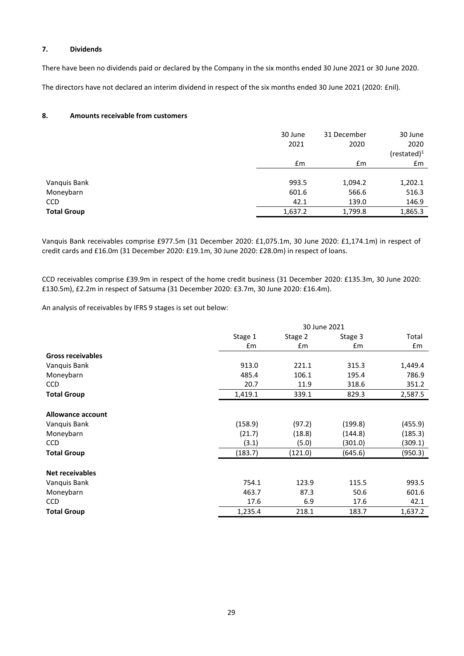# **7. Dividends**

There have been no dividends paid or declared by the Company in the six months ended 30 June 2021 or 30 June 2020.

The directors have not declared an interim dividend in respect of the six months ended 30 June 2021 (2020: £nil).

# **8. Amounts receivable from customers**

|                    | 30 June<br>2021 | 31 December<br>2020 | 30 June<br>2020 |
|--------------------|-----------------|---------------------|-----------------|
|                    |                 |                     | $(rested)^1$    |
|                    | £m              | £m                  | £m              |
|                    |                 |                     |                 |
| Vanquis Bank       | 993.5           | 1,094.2             | 1,202.1         |
| Moneybarn          | 601.6           | 566.6               | 516.3           |
| <b>CCD</b>         | 42.1            | 139.0               | 146.9           |
| <b>Total Group</b> | 1,637.2         | 1,799.8             | 1,865.3         |

Vanquis Bank receivables comprise £977.5m (31 December 2020: £1,075.1m, 30 June 2020: £1,174.1m) in respect of credit cards and £16.0m (31 December 2020: £19.1m, 30 June 2020: £28.0m) in respect of loans.

CCD receivables comprise £39.9m in respect of the home credit business (31 December 2020: £135.3m, 30 June 2020: £130.5m), £2.2m in respect of Satsuma (31 December 2020: £3.7m, 30 June 2020: £16.4m).

An analysis of receivables by IFRS 9 stages is set out below:

|                          | 30 June 2021 |         |         |         |
|--------------------------|--------------|---------|---------|---------|
|                          | Stage 1      | Stage 2 | Stage 3 | Total   |
|                          | £m           | £m      | £m      | £m      |
| <b>Gross receivables</b> |              |         |         |         |
| Vanquis Bank             | 913.0        | 221.1   | 315.3   | 1,449.4 |
| Moneybarn                | 485.4        | 106.1   | 195.4   | 786.9   |
| <b>CCD</b>               | 20.7         | 11.9    | 318.6   | 351.2   |
| <b>Total Group</b>       | 1,419.1      | 339.1   | 829.3   | 2,587.5 |
| Allowance account        |              |         |         |         |
| Vanquis Bank             | (158.9)      | (97.2)  | (199.8) | (455.9) |
| Moneybarn                | (21.7)       | (18.8)  | (144.8) | (185.3) |
| <b>CCD</b>               | (3.1)        | (5.0)   | (301.0) | (309.1) |
| <b>Total Group</b>       | (183.7)      | (121.0) | (645.6) | (950.3) |
| <b>Net receivables</b>   |              |         |         |         |
| Vanquis Bank             | 754.1        | 123.9   | 115.5   | 993.5   |
| Moneybarn                | 463.7        | 87.3    | 50.6    | 601.6   |
| <b>CCD</b>               | 17.6         | 6.9     | 17.6    | 42.1    |
| <b>Total Group</b>       | 1,235.4      | 218.1   | 183.7   | 1,637.2 |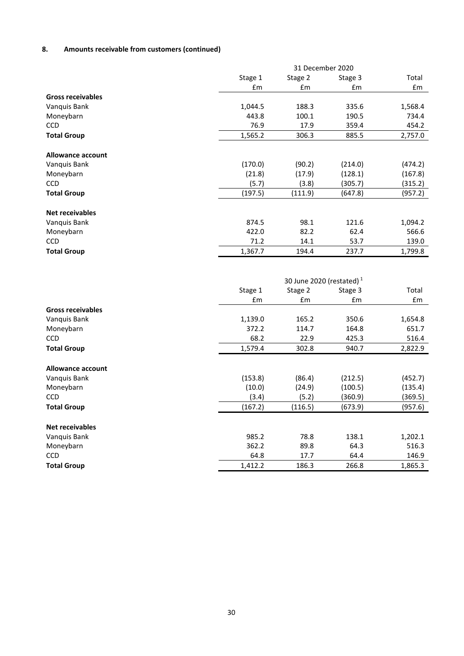# **8. Amounts receivable from customers (continued)**

|                           |                | 31 December 2020            |               |                  |
|---------------------------|----------------|-----------------------------|---------------|------------------|
|                           | Stage 1        | Stage 2                     | Stage 3       | Total            |
|                           | £m             | £m                          | £m            | £m               |
| <b>Gross receivables</b>  |                |                             |               |                  |
| Vanquis Bank              | 1,044.5        | 188.3                       | 335.6         | 1,568.4          |
| Moneybarn                 | 443.8          | 100.1                       | 190.5         | 734.4            |
| <b>CCD</b>                | 76.9           | 17.9                        | 359.4         | 454.2            |
| <b>Total Group</b>        | 1,565.2        | 306.3                       | 885.5         | 2,757.0          |
| Allowance account         |                |                             |               |                  |
| Vanquis Bank              | (170.0)        | (90.2)                      | (214.0)       | (474.2)          |
| Moneybarn                 | (21.8)         | (17.9)                      | (128.1)       | (167.8)          |
| CCD                       | (5.7)          | (3.8)                       | (305.7)       | (315.2)          |
| <b>Total Group</b>        | (197.5)        | (111.9)                     | (647.8)       | (957.2)          |
|                           |                |                             |               |                  |
| <b>Net receivables</b>    |                |                             |               |                  |
| Vanquis Bank              | 874.5          | 98.1                        | 121.6         | 1,094.2          |
| Moneybarn                 | 422.0          | 82.2                        | 62.4          | 566.6            |
| <b>CCD</b>                | 71.2           | 14.1                        | 53.7          | 139.0            |
| <b>Total Group</b>        | 1,367.7        | 194.4                       | 237.7         | 1,799.8          |
|                           |                |                             |               |                  |
|                           |                |                             |               |                  |
|                           |                | 30 June 2020 (restated) $1$ |               |                  |
|                           | Stage 1        | Stage 2                     | Stage 3       | Total            |
|                           | £m             | £m                          | £m            | Em               |
| <b>Gross receivables</b>  |                |                             |               |                  |
| Vanquis Bank              | 1,139.0        | 165.2                       | 350.6         | 1,654.8          |
| Moneybarn                 | 372.2          | 114.7                       | 164.8         | 651.7            |
| <b>CCD</b>                |                |                             |               |                  |
|                           | 68.2           | 22.9                        | 425.3         | 516.4            |
| <b>Total Group</b>        | 1,579.4        | 302.8                       | 940.7         | 2,822.9          |
|                           |                |                             |               |                  |
| <b>Allowance account</b>  |                |                             |               |                  |
| Vanquis Bank              | (153.8)        | (86.4)                      | (212.5)       | (452.7)          |
| Moneybarn                 | (10.0)         | (24.9)                      | (100.5)       | (135.4)          |
| <b>CCD</b>                | (3.4)          | (5.2)                       | (360.9)       | (369.5)          |
| <b>Total Group</b>        | (167.2)        | (116.5)                     | (673.9)       | (957.6)          |
|                           |                |                             |               |                  |
| <b>Net receivables</b>    |                |                             |               |                  |
| Vanquis Bank<br>Moneybarn | 985.2<br>362.2 | 78.8<br>89.8                | 138.1<br>64.3 | 1,202.1<br>516.3 |

**Total Group** 1,412.2 186.3 266.8 1,865.3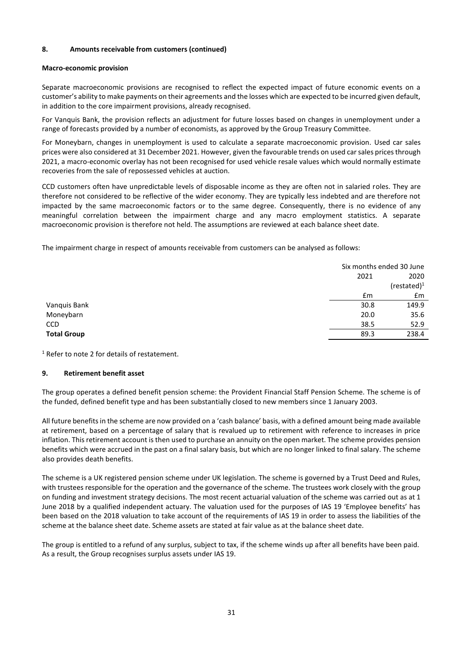# **8. Amounts receivable from customers (continued)**

# **Macro-economic provision**

Separate macroeconomic provisions are recognised to reflect the expected impact of future economic events on a customer's ability to make payments on their agreements and the losses which are expected to be incurred given default, in addition to the core impairment provisions, already recognised.

For Vanquis Bank, the provision reflects an adjustment for future losses based on changes in unemployment under a range of forecasts provided by a number of economists, as approved by the Group Treasury Committee.

For Moneybarn, changes in unemployment is used to calculate a separate macroeconomic provision. Used car sales prices were also considered at 31 December 2021. However, given the favourable trends on used car sales prices through 2021, a macro-economic overlay has not been recognised for used vehicle resale values which would normally estimate recoveries from the sale of repossessed vehicles at auction.

CCD customers often have unpredictable levels of disposable income as they are often not in salaried roles. They are therefore not considered to be reflective of the wider economy. They are typically less indebted and are therefore not impacted by the same macroeconomic factors or to the same degree. Consequently, there is no evidence of any meaningful correlation between the impairment charge and any macro employment statistics. A separate macroeconomic provision is therefore not held. The assumptions are reviewed at each balance sheet date.

The impairment charge in respect of amounts receivable from customers can be analysed as follows:

|                    |               | Six months ended 30 June |  |  |
|--------------------|---------------|--------------------------|--|--|
|                    | 2021          | 2020                     |  |  |
|                    |               | (restated) $1$           |  |  |
|                    | $\mathsf{fm}$ | $\mathsf{fm}$            |  |  |
| Vanquis Bank       | 30.8          | 149.9                    |  |  |
| Moneybarn          | 20.0          | 35.6                     |  |  |
| <b>CCD</b>         | 38.5          | 52.9                     |  |  |
| <b>Total Group</b> | 89.3          | 238.4                    |  |  |

<sup>1</sup> Refer to note 2 for details of restatement.

# **9. Retirement benefit asset**

The group operates a defined benefit pension scheme: the Provident Financial Staff Pension Scheme. The scheme is of the funded, defined benefit type and has been substantially closed to new members since 1 January 2003.

All future benefits in the scheme are now provided on a 'cash balance' basis, with a defined amount being made available at retirement, based on a percentage of salary that is revalued up to retirement with reference to increases in price inflation. This retirement account is then used to purchase an annuity on the open market. The scheme provides pension benefits which were accrued in the past on a final salary basis, but which are no longer linked to final salary. The scheme also provides death benefits.

The scheme is a UK registered pension scheme under UK legislation. The scheme is governed by a Trust Deed and Rules, with trustees responsible for the operation and the governance of the scheme. The trustees work closely with the group on funding and investment strategy decisions. The most recent actuarial valuation of the scheme was carried out as at 1 June 2018 by a qualified independent actuary. The valuation used for the purposes of IAS 19 'Employee benefits' has been based on the 2018 valuation to take account of the requirements of IAS 19 in order to assess the liabilities of the scheme at the balance sheet date. Scheme assets are stated at fair value as at the balance sheet date.

The group is entitled to a refund of any surplus, subject to tax, if the scheme winds up after all benefits have been paid. As a result, the Group recognises surplus assets under IAS 19.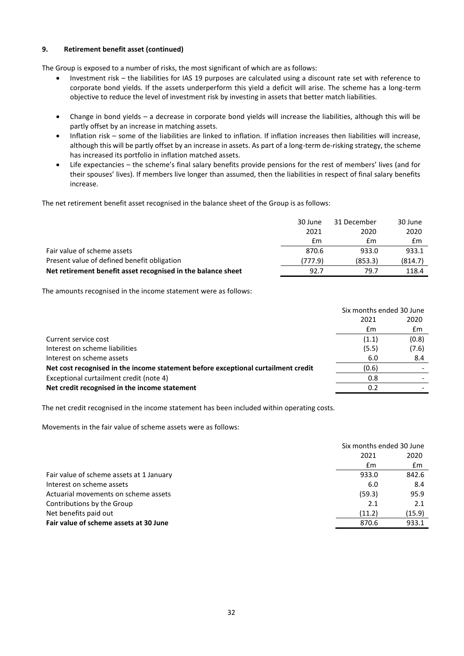# **9. Retirement benefit asset (continued)**

The Group is exposed to a number of risks, the most significant of which are as follows:

- Investment risk the liabilities for IAS 19 purposes are calculated using a discount rate set with reference to corporate bond yields. If the assets underperform this yield a deficit will arise. The scheme has a long-term objective to reduce the level of investment risk by investing in assets that better match liabilities.
- Change in bond yields a decrease in corporate bond yields will increase the liabilities, although this will be partly offset by an increase in matching assets.
- Inflation risk some of the liabilities are linked to inflation. If inflation increases then liabilities will increase, although this will be partly offset by an increase in assets. As part of a long-term de-risking strategy, the scheme has increased its portfolio in inflation matched assets.
- Life expectancies the scheme's final salary benefits provide pensions for the rest of members' lives (and for their spouses' lives). If members live longer than assumed, then the liabilities in respect of final salary benefits increase.

The net retirement benefit asset recognised in the balance sheet of the Group is as follows:

|                                                              | 30 June | 31 December | 30 June |
|--------------------------------------------------------------|---------|-------------|---------|
|                                                              | 2021    | 2020        | 2020    |
|                                                              | £m      | £m          | £m      |
| Fair value of scheme assets                                  | 870.6   | 933.0       | 933.1   |
| Present value of defined benefit obligation                  | (777.9) | (853.3)     | (814.7) |
| Net retirement benefit asset recognised in the balance sheet | 92.7    | 79.7        | 118.4   |

The amounts recognised in the income statement were as follows:

|                                                                                   | Six months ended 30 June |       |
|-----------------------------------------------------------------------------------|--------------------------|-------|
|                                                                                   | 2021                     | 2020  |
|                                                                                   | £m                       | £m    |
| Current service cost                                                              | (1.1)                    | (0.8) |
| Interest on scheme liabilities                                                    | (5.5)                    | (7.6) |
| Interest on scheme assets                                                         | 6.0                      | 8.4   |
| Net cost recognised in the income statement before exceptional curtailment credit | (0.6)                    |       |
| Exceptional curtailment credit (note 4)                                           | 0.8                      |       |
| Net credit recognised in the income statement                                     | 0.2                      |       |

The net credit recognised in the income statement has been included within operating costs.

Movements in the fair value of scheme assets were as follows:

|                                          | Six months ended 30 June |        |
|------------------------------------------|--------------------------|--------|
|                                          | 2021                     | 2020   |
|                                          | £m                       | £m     |
| Fair value of scheme assets at 1 January | 933.0                    | 842.6  |
| Interest on scheme assets                | 6.0                      | 8.4    |
| Actuarial movements on scheme assets     | (59.3)                   | 95.9   |
| Contributions by the Group               | 2.1                      | 2.1    |
| Net benefits paid out                    | (11.2)                   | (15.9) |
| Fair value of scheme assets at 30 June   | 870.6                    | 933.1  |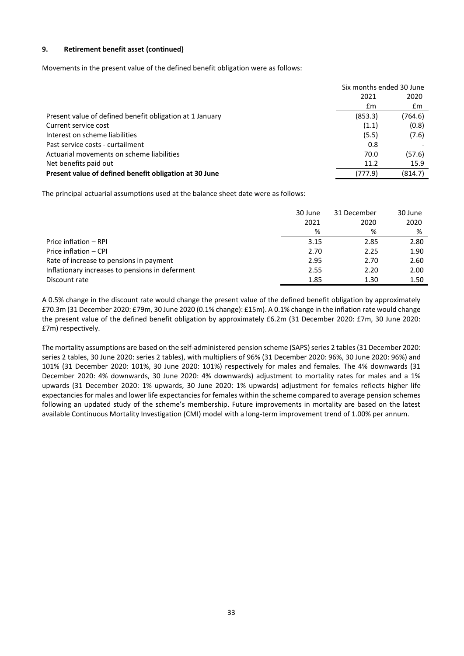## **9. Retirement benefit asset (continued)**

Movements in the present value of the defined benefit obligation were as follows:

|                                                          | Six months ended 30 June |         |
|----------------------------------------------------------|--------------------------|---------|
|                                                          | 2021                     | 2020    |
|                                                          | £m                       | £m      |
| Present value of defined benefit obligation at 1 January | (853.3)                  | (764.6) |
| Current service cost                                     | (1.1)                    | (0.8)   |
| Interest on scheme liabilities                           | (5.5)                    | (7.6)   |
| Past service costs - curtailment                         | 0.8                      |         |
| Actuarial movements on scheme liabilities                | 70.0                     | (57.6)  |
| Net benefits paid out                                    | 11.2                     | 15.9    |
| Present value of defined benefit obligation at 30 June   | (777.9)                  | (814.7) |

The principal actuarial assumptions used at the balance sheet date were as follows:

|                                                 | 30 June | 31 December | 30 June |
|-------------------------------------------------|---------|-------------|---------|
|                                                 | 2021    | 2020        | 2020    |
|                                                 | ℅       | %           | %       |
| Price inflation - RPI                           | 3.15    | 2.85        | 2.80    |
| Price inflation - CPI                           | 2.70    | 2.25        | 1.90    |
| Rate of increase to pensions in payment         | 2.95    | 2.70        | 2.60    |
| Inflationary increases to pensions in deferment | 2.55    | 2.20        | 2.00    |
| Discount rate                                   | 1.85    | 1.30        | 1.50    |

A 0.5% change in the discount rate would change the present value of the defined benefit obligation by approximately £70.3m (31 December 2020: £79m, 30 June 2020 (0.1% change): £15m). A 0.1% change in the inflation rate would change the present value of the defined benefit obligation by approximately £6.2m (31 December 2020: £7m, 30 June 2020: £7m) respectively.

The mortality assumptions are based on the self-administered pension scheme (SAPS) series 2 tables (31 December 2020: series 2 tables, 30 June 2020: series 2 tables), with multipliers of 96% (31 December 2020: 96%, 30 June 2020: 96%) and 101% (31 December 2020: 101%, 30 June 2020: 101%) respectively for males and females. The 4% downwards (31 December 2020: 4% downwards, 30 June 2020: 4% downwards) adjustment to mortality rates for males and a 1% upwards (31 December 2020: 1% upwards, 30 June 2020: 1% upwards) adjustment for females reflects higher life expectancies for males and lower life expectancies for females within the scheme compared to average pension schemes following an updated study of the scheme's membership. Future improvements in mortality are based on the latest available Continuous Mortality Investigation (CMI) model with a long-term improvement trend of 1.00% per annum.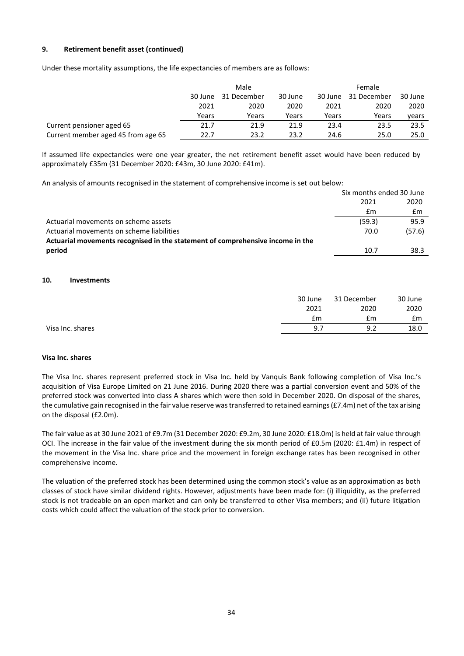# **9. Retirement benefit asset (continued)**

Under these mortality assumptions, the life expectancies of members are as follows:

|                                    | Male    |             |         | <b>Female</b> |             |         |
|------------------------------------|---------|-------------|---------|---------------|-------------|---------|
|                                    | 30 June | 31 December | 30 June | 30 June       | 31 December | 30 June |
|                                    | 2021    | 2020        | 2020    | 2021          | 2020        | 2020    |
|                                    | Years   | Years       | Years   | Years         | Years       | vears   |
| Current pensioner aged 65          | 21.7    | 21.9        | 21.9    | 23.4          | 23.5        | 23.5    |
| Current member aged 45 from age 65 | 22.7    | 23.2        | 23.2    | 24.6          | 25.0        | 25.0    |

If assumed life expectancies were one year greater, the net retirement benefit asset would have been reduced by approximately £35m (31 December 2020: £43m, 30 June 2020: £41m).

An analysis of amounts recognised in the statement of comprehensive income is set out below:

|                                                                                | Six months ended 30 June |        |
|--------------------------------------------------------------------------------|--------------------------|--------|
|                                                                                | 2021                     | 2020   |
|                                                                                | £m                       | £m     |
| Actuarial movements on scheme assets                                           | (59.3)                   | 95.9   |
| Actuarial movements on scheme liabilities                                      | 70.0                     | (57.6) |
| Actuarial movements recognised in the statement of comprehensive income in the |                          |        |
| period                                                                         | 10.7                     | 38.3   |

#### **10. Investments**

|                  | 30 June | 31 December | 30 June |
|------------------|---------|-------------|---------|
|                  | 2021    | 2020        | 2020    |
|                  | £m      | £m          | £m      |
| Visa Inc. shares | 9.7     | 9.2         | 18.0    |
|                  |         |             |         |

#### **Visa Inc. shares**

The Visa Inc. shares represent preferred stock in Visa Inc. held by Vanquis Bank following completion of Visa Inc.'s acquisition of Visa Europe Limited on 21 June 2016. During 2020 there was a partial conversion event and 50% of the preferred stock was converted into class A shares which were then sold in December 2020. On disposal of the shares, the cumulative gain recognised in the fair value reserve was transferred to retained earnings (£7.4m) net of the tax arising on the disposal (£2.0m).

The fair value as at 30 June 2021 of £9.7m (31 December 2020: £9.2m, 30 June 2020: £18.0m) is held at fair value through OCI. The increase in the fair value of the investment during the six month period of £0.5m (2020: £1.4m) in respect of the movement in the Visa Inc. share price and the movement in foreign exchange rates has been recognised in other comprehensive income.

The valuation of the preferred stock has been determined using the common stock's value as an approximation as both classes of stock have similar dividend rights. However, adjustments have been made for: (i) illiquidity, as the preferred stock is not tradeable on an open market and can only be transferred to other Visa members; and (ii) future litigation costs which could affect the valuation of the stock prior to conversion.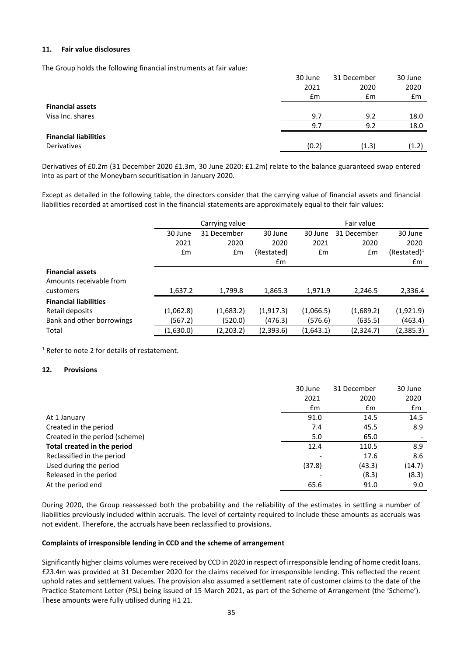#### **11. Fair value disclosures**

The Group holds the following financial instruments at fair value:

|                              | 30 June | 31 December | 30 June        |
|------------------------------|---------|-------------|----------------|
|                              | 2021    | 2020        | 2020           |
|                              | Em      | £m          | $\mathbf{f}$ m |
| <b>Financial assets</b>      |         |             |                |
| Visa Inc. shares             | 9.7     | 9.2         | 18.0           |
|                              | 9.7     | 9.2         | 18.0           |
| <b>Financial liabilities</b> |         |             |                |
| Derivatives                  | (0.2)   | (1.3)       | (1.2)          |

Derivatives of £0.2m (31 December 2020 £1.3m, 30 June 2020: £1.2m) relate to the balance guaranteed swap entered into as part of the Moneybarn securitisation in January 2020.

Except as detailed in the following table, the directors consider that the carrying value of financial assets and financial liabilities recorded at amortised cost in the financial statements are approximately equal to their fair values:

|                              |               | Carrying value |            |           | Fair value  |                |
|------------------------------|---------------|----------------|------------|-----------|-------------|----------------|
|                              | 30 June       | 31 December    | 30 June    | 30 June   | 31 December | 30 June        |
|                              | 2021          | 2020           | 2020       | 2021      | 2020        | 2020           |
|                              | $\mathsf{fm}$ | £m             | (Restated) | Em        | £m          | $(Restated)^1$ |
|                              |               |                | £m         |           |             | $\mathsf{fm}$  |
| <b>Financial assets</b>      |               |                |            |           |             |                |
| Amounts receivable from      |               |                |            |           |             |                |
| customers                    | 1,637.2       | 1,799.8        | 1,865.3    | 1,971.9   | 2,246.5     | 2,336.4        |
| <b>Financial liabilities</b> |               |                |            |           |             |                |
| Retail deposits              | (1,062.8)     | (1,683.2)      | (1,917.3)  | (1,066.5) | (1,689.2)   | (1,921.9)      |
| Bank and other borrowings    | (567.2)       | (520.0)        | (476.3)    | (576.6)   | (635.5)     | (463.4)        |
| Total                        | (1,630.0)     | (2,203.2)      | (2,393.6)  | (1,643.1) | (2,324.7)   | (2,385.3)      |

<sup>1</sup> Refer to note 2 for details of restatement.

# **12. Provisions**

|                                | 30 June | 31 December | 30 June |
|--------------------------------|---------|-------------|---------|
|                                | 2021    | 2020        | 2020    |
|                                | £m      | £m          | £m      |
| At 1 January                   | 91.0    | 14.5        | 14.5    |
| Created in the period          | 7.4     | 45.5        | 8.9     |
| Created in the period (scheme) | 5.0     | 65.0        |         |
| Total created in the period    | 12.4    | 110.5       | 8.9     |
| Reclassified in the period     |         | 17.6        | 8.6     |
| Used during the period         | (37.8)  | (43.3)      | (14.7)  |
| Released in the period         |         | (8.3)       | (8.3)   |
| At the period end              | 65.6    | 91.0        | 9.0     |

During 2020, the Group reassessed both the probability and the reliability of the estimates in settling a number of liabilities previously included within accruals. The level of certainty required to include these amounts as accruals was not evident. Therefore, the accruals have been reclassified to provisions.

#### **Complaints of irresponsible lending in CCD and the scheme of arrangement**

Significantly higher claims volumes were received by CCD in 2020 in respect of irresponsible lending of home credit loans. £23.4m was provided at 31 December 2020 for the claims received for irresponsible lending. This reflected the recent uphold rates and settlement values. The provision also assumed a settlement rate of customer claims to the date of the Practice Statement Letter (PSL) being issued of 15 March 2021, as part of the Scheme of Arrangement (the 'Scheme'). These amounts were fully utilised during H1 21.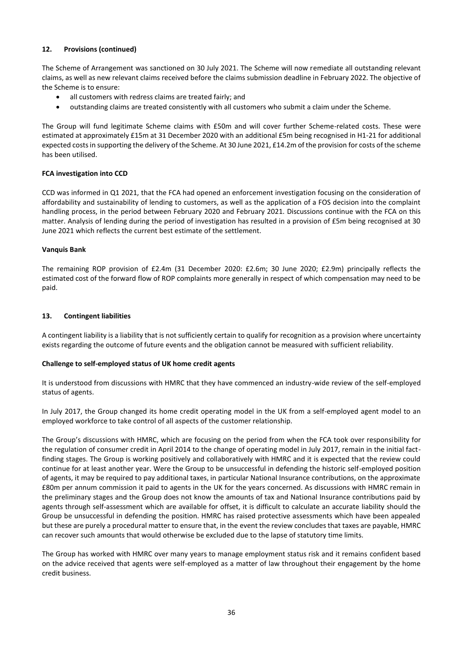# **12. Provisions (continued)**

The Scheme of Arrangement was sanctioned on 30 July 2021. The Scheme will now remediate all outstanding relevant claims, as well as new relevant claims received before the claims submission deadline in February 2022. The objective of the Scheme is to ensure:

- all customers with redress claims are treated fairly; and
- outstanding claims are treated consistently with all customers who submit a claim under the Scheme.

The Group will fund legitimate Scheme claims with £50m and will cover further Scheme-related costs. These were estimated at approximately £15m at 31 December 2020 with an additional £5m being recognised in H1-21 for additional expected costs in supporting the delivery of the Scheme. At 30 June 2021, £14.2m of the provision for costs of the scheme has been utilised.

# **FCA investigation into CCD**

CCD was informed in Q1 2021, that the FCA had opened an enforcement investigation focusing on the consideration of affordability and sustainability of lending to customers, as well as the application of a FOS decision into the complaint handling process, in the period between February 2020 and February 2021. Discussions continue with the FCA on this matter. Analysis of lending during the period of investigation has resulted in a provision of £5m being recognised at 30 June 2021 which reflects the current best estimate of the settlement.

# **Vanquis Bank**

The remaining ROP provision of £2.4m (31 December 2020: £2.6m; 30 June 2020; £2.9m) principally reflects the estimated cost of the forward flow of ROP complaints more generally in respect of which compensation may need to be paid.

# **13. Contingent liabilities**

A contingent liability is a liability that is not sufficiently certain to qualify for recognition as a provision where uncertainty exists regarding the outcome of future events and the obligation cannot be measured with sufficient reliability.

# **Challenge to self-employed status of UK home credit agents**

It is understood from discussions with HMRC that they have commenced an industry-wide review of the self-employed status of agents.

In July 2017, the Group changed its home credit operating model in the UK from a self-employed agent model to an employed workforce to take control of all aspects of the customer relationship.

The Group's discussions with HMRC, which are focusing on the period from when the FCA took over responsibility for the regulation of consumer credit in April 2014 to the change of operating model in July 2017, remain in the initial factfinding stages. The Group is working positively and collaboratively with HMRC and it is expected that the review could continue for at least another year. Were the Group to be unsuccessful in defending the historic self-employed position of agents, it may be required to pay additional taxes, in particular National Insurance contributions, on the approximate £80m per annum commission it paid to agents in the UK for the years concerned. As discussions with HMRC remain in the preliminary stages and the Group does not know the amounts of tax and National Insurance contributions paid by agents through self-assessment which are available for offset, it is difficult to calculate an accurate liability should the Group be unsuccessful in defending the position. HMRC has raised protective assessments which have been appealed but these are purely a procedural matter to ensure that, in the event the review concludes that taxes are payable, HMRC can recover such amounts that would otherwise be excluded due to the lapse of statutory time limits.

The Group has worked with HMRC over many years to manage employment status risk and it remains confident based on the advice received that agents were self-employed as a matter of law throughout their engagement by the home credit business.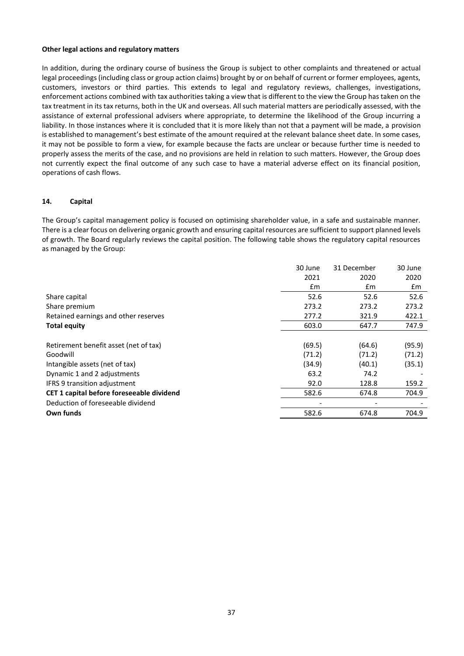#### **Other legal actions and regulatory matters**

In addition, during the ordinary course of business the Group is subject to other complaints and threatened or actual legal proceedings (including class or group action claims) brought by or on behalf of current or former employees, agents, customers, investors or third parties. This extends to legal and regulatory reviews, challenges, investigations, enforcement actions combined with tax authorities taking a view that is different to the view the Group has taken on the tax treatment in its tax returns, both in the UK and overseas. All such material matters are periodically assessed, with the assistance of external professional advisers where appropriate, to determine the likelihood of the Group incurring a liability. In those instances where it is concluded that it is more likely than not that a payment will be made, a provision is established to management's best estimate of the amount required at the relevant balance sheet date. In some cases, it may not be possible to form a view, for example because the facts are unclear or because further time is needed to properly assess the merits of the case, and no provisions are held in relation to such matters. However, the Group does not currently expect the final outcome of any such case to have a material adverse effect on its financial position, operations of cash flows.

# **14. Capital**

The Group's capital management policy is focused on optimising shareholder value, in a safe and sustainable manner. There is a clear focus on delivering organic growth and ensuring capital resources are sufficient to support planned levels of growth. The Board regularly reviews the capital position. The following table shows the regulatory capital resources as managed by the Group:

| 30 June | 31 December | 30 June |
|---------|-------------|---------|
| 2021    | 2020        | 2020    |
| £m      | £m          | £m      |
| 52.6    | 52.6        | 52.6    |
| 273.2   | 273.2       | 273.2   |
| 277.2   | 321.9       | 422.1   |
| 603.0   | 647.7       | 747.9   |
|         |             |         |
| (69.5)  | (64.6)      | (95.9)  |
| (71.2)  | (71.2)      | (71.2)  |
| (34.9)  | (40.1)      | (35.1)  |
| 63.2    | 74.2        |         |
| 92.0    | 128.8       | 159.2   |
| 582.6   | 674.8       | 704.9   |
|         |             |         |
| 582.6   | 674.8       | 704.9   |
|         |             |         |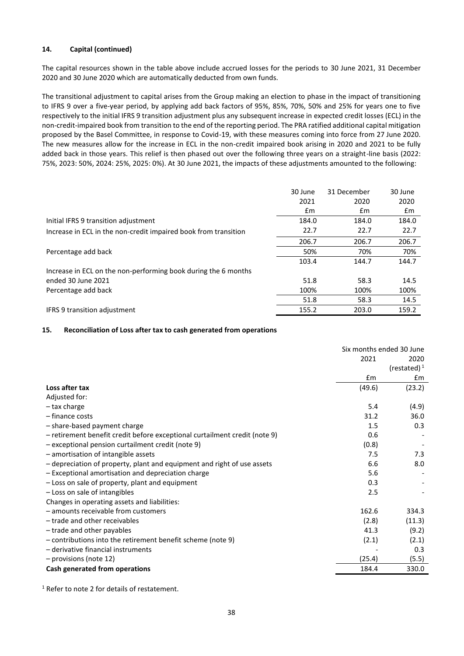# **14. Capital (continued)**

The capital resources shown in the table above include accrued losses for the periods to 30 June 2021, 31 December 2020 and 30 June 2020 which are automatically deducted from own funds.

The transitional adjustment to capital arises from the Group making an election to phase in the impact of transitioning to IFRS 9 over a five-year period, by applying add back factors of 95%, 85%, 70%, 50% and 25% for years one to five respectively to the initial IFRS 9 transition adjustment plus any subsequent increase in expected credit losses (ECL) in the non-credit-impaired book from transition to the end of the reporting period. The PRA ratified additional capital mitigation proposed by the Basel Committee, in response to Covid-19, with these measures coming into force from 27 June 2020. The new measures allow for the increase in ECL in the non-credit impaired book arising in 2020 and 2021 to be fully added back in those years. This relief is then phased out over the following three years on a straight-line basis (2022: 75%, 2023: 50%, 2024: 25%, 2025: 0%). At 30 June 2021, the impacts of these adjustments amounted to the following:

|                                                                 | 30 June | 31 December | 30 June |
|-----------------------------------------------------------------|---------|-------------|---------|
|                                                                 | 2021    | 2020        | 2020    |
|                                                                 | £m      | £m          | £m      |
| Initial IFRS 9 transition adjustment                            | 184.0   | 184.0       | 184.0   |
| Increase in ECL in the non-credit impaired book from transition | 22.7    | 22.7        | 22.7    |
|                                                                 | 206.7   | 206.7       | 206.7   |
| Percentage add back                                             | 50%     | 70%         | 70%     |
|                                                                 | 103.4   | 144.7       | 144.7   |
| Increase in ECL on the non-performing book during the 6 months  |         |             |         |
| ended 30 June 2021                                              | 51.8    | 58.3        | 14.5    |
| Percentage add back                                             | 100%    | 100%        | 100%    |
|                                                                 | 51.8    | 58.3        | 14.5    |
| <b>IFRS 9 transition adjustment</b>                             | 155.2   | 203.0       | 159.2   |

#### **15. Reconciliation of Loss after tax to cash generated from operations**

|                                                                            | Six months ended 30 June |                |
|----------------------------------------------------------------------------|--------------------------|----------------|
|                                                                            | 2021                     | 2020           |
|                                                                            |                          | (restated) $1$ |
|                                                                            | £m                       | £m             |
| Loss after tax                                                             | (49.6)                   | (23.2)         |
| Adjusted for:                                                              |                          |                |
| - tax charge                                                               | 5.4                      | (4.9)          |
| - finance costs                                                            | 31.2                     | 36.0           |
| - share-based payment charge                                               | 1.5                      | 0.3            |
| - retirement benefit credit before exceptional curtailment credit (note 9) | 0.6                      |                |
| - exceptional pension curtailment credit (note 9)                          | (0.8)                    |                |
| - amortisation of intangible assets                                        | 7.5                      | 7.3            |
| - depreciation of property, plant and equipment and right of use assets    | 6.6                      | 8.0            |
| - Exceptional amortisation and depreciation charge                         | 5.6                      |                |
| - Loss on sale of property, plant and equipment                            | 0.3                      |                |
| - Loss on sale of intangibles                                              | 2.5                      |                |
| Changes in operating assets and liabilities:                               |                          |                |
| - amounts receivable from customers                                        | 162.6                    | 334.3          |
| - trade and other receivables                                              | (2.8)                    | (11.3)         |
| - trade and other payables                                                 | 41.3                     | (9.2)          |
| - contributions into the retirement benefit scheme (note 9)                | (2.1)                    | (2.1)          |
| - derivative financial instruments                                         |                          | 0.3            |
| - provisions (note 12)                                                     | (25.4)                   | (5.5)          |
| Cash generated from operations                                             | 184.4                    | 330.0          |

<sup>1</sup> Refer to note 2 for details of restatement.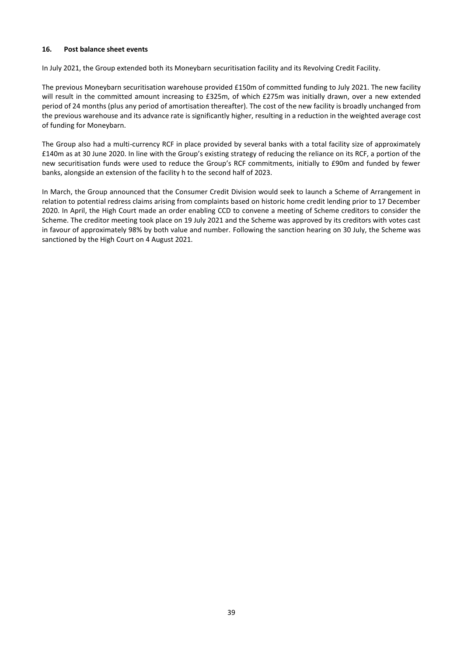## **16. Post balance sheet events**

In July 2021, the Group extended both its Moneybarn securitisation facility and its Revolving Credit Facility.

The previous Moneybarn securitisation warehouse provided £150m of committed funding to July 2021. The new facility will result in the committed amount increasing to £325m, of which £275m was initially drawn, over a new extended period of 24 months (plus any period of amortisation thereafter). The cost of the new facility is broadly unchanged from the previous warehouse and its advance rate is significantly higher, resulting in a reduction in the weighted average cost of funding for Moneybarn.

The Group also had a multi-currency RCF in place provided by several banks with a total facility size of approximately £140m as at 30 June 2020. In line with the Group's existing strategy of reducing the reliance on its RCF, a portion of the new securitisation funds were used to reduce the Group's RCF commitments, initially to £90m and funded by fewer banks, alongside an extension of the facility h to the second half of 2023.

In March, the Group announced that the Consumer Credit Division would seek to launch a Scheme of Arrangement in relation to potential redress claims arising from complaints based on historic home credit lending prior to 17 December 2020. In April, the High Court made an order enabling CCD to convene a meeting of Scheme creditors to consider the Scheme. The creditor meeting took place on 19 July 2021 and the Scheme was approved by its creditors with votes cast in favour of approximately 98% by both value and number. Following the sanction hearing on 30 July, the Scheme was sanctioned by the High Court on 4 August 2021.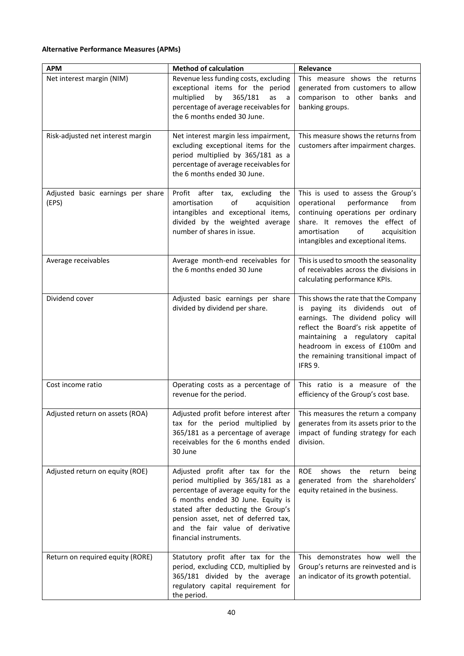# **Alternative Performance Measures (APMs)**

| <b>APM</b>                                 | <b>Method of calculation</b>                                                                                                                                                                                                                                                                   | Relevance                                                                                                                                                                                                                                                                      |
|--------------------------------------------|------------------------------------------------------------------------------------------------------------------------------------------------------------------------------------------------------------------------------------------------------------------------------------------------|--------------------------------------------------------------------------------------------------------------------------------------------------------------------------------------------------------------------------------------------------------------------------------|
| Net interest margin (NIM)                  | Revenue less funding costs, excluding<br>exceptional items for the period<br>365/181<br>multiplied<br>by<br>as<br>a a<br>percentage of average receivables for<br>the 6 months ended 30 June.                                                                                                  | This measure shows the returns<br>generated from customers to allow<br>comparison to other banks and<br>banking groups.                                                                                                                                                        |
| Risk-adjusted net interest margin          | Net interest margin less impairment,<br>excluding exceptional items for the<br>period multiplied by 365/181 as a<br>percentage of average receivables for<br>the 6 months ended 30 June.                                                                                                       | This measure shows the returns from<br>customers after impairment charges.                                                                                                                                                                                                     |
| Adjusted basic earnings per share<br>(EPS) | Profit<br>after tax, excluding<br>the<br>of<br>amortisation<br>acquisition<br>intangibles and exceptional items,<br>divided by the weighted average<br>number of shares in issue.                                                                                                              | This is used to assess the Group's<br>performance<br>operational<br>from<br>continuing operations per ordinary<br>share. It removes the effect of<br>amortisation<br>οf<br>acquisition<br>intangibles and exceptional items.                                                   |
| Average receivables                        | Average month-end receivables for<br>the 6 months ended 30 June                                                                                                                                                                                                                                | This is used to smooth the seasonality<br>of receivables across the divisions in<br>calculating performance KPIs.                                                                                                                                                              |
| Dividend cover                             | Adjusted basic earnings per share<br>divided by dividend per share.                                                                                                                                                                                                                            | This shows the rate that the Company<br>is paying its dividends out of<br>earnings. The dividend policy will<br>reflect the Board's risk appetite of<br>maintaining a regulatory capital<br>headroom in excess of £100m and<br>the remaining transitional impact of<br>IFRS 9. |
| Cost income ratio                          | Operating costs as a percentage of<br>revenue for the period.                                                                                                                                                                                                                                  | This ratio is a measure of the<br>efficiency of the Group's cost base.                                                                                                                                                                                                         |
| Adjusted return on assets (ROA)            | Adjusted profit before interest after<br>tax for the period multiplied by<br>365/181 as a percentage of average<br>receivables for the 6 months ended<br>30 June                                                                                                                               | This measures the return a company<br>generates from its assets prior to the<br>impact of funding strategy for each<br>division.                                                                                                                                               |
| Adjusted return on equity (ROE)            | Adjusted profit after tax for the<br>period multiplied by 365/181 as a<br>percentage of average equity for the<br>6 months ended 30 June. Equity is<br>stated after deducting the Group's<br>pension asset, net of deferred tax,<br>and the fair value of derivative<br>financial instruments. | <b>ROE</b><br>shows<br>the<br>return<br>being<br>generated from the shareholders'<br>equity retained in the business.                                                                                                                                                          |
| Return on required equity (RORE)           | Statutory profit after tax for the<br>period, excluding CCD, multiplied by<br>365/181 divided by the average<br>regulatory capital requirement for<br>the period.                                                                                                                              | This demonstrates how well the<br>Group's returns are reinvested and is<br>an indicator of its growth potential.                                                                                                                                                               |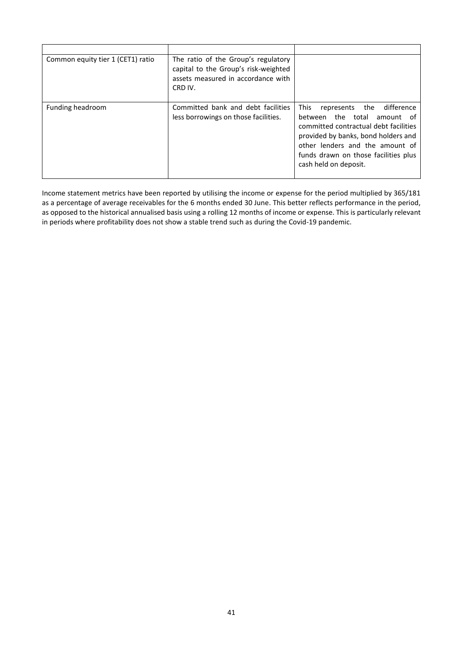| Common equity tier 1 (CET1) ratio | The ratio of the Group's regulatory<br>capital to the Group's risk-weighted<br>assets measured in accordance with<br>CRD IV. |                                                                                                                                                                                                                                                                      |
|-----------------------------------|------------------------------------------------------------------------------------------------------------------------------|----------------------------------------------------------------------------------------------------------------------------------------------------------------------------------------------------------------------------------------------------------------------|
| Funding headroom                  | Committed bank and debt facilities<br>less borrowings on those facilities.                                                   | <b>This</b><br>difference<br>the<br>represents<br>the total amount of<br>between<br>committed contractual debt facilities<br>provided by banks, bond holders and<br>other lenders and the amount of<br>funds drawn on those facilities plus<br>cash held on deposit. |

Income statement metrics have been reported by utilising the income or expense for the period multiplied by 365/181 as a percentage of average receivables for the 6 months ended 30 June. This better reflects performance in the period, as opposed to the historical annualised basis using a rolling 12 months of income or expense. This is particularly relevant in periods where profitability does not show a stable trend such as during the Covid-19 pandemic.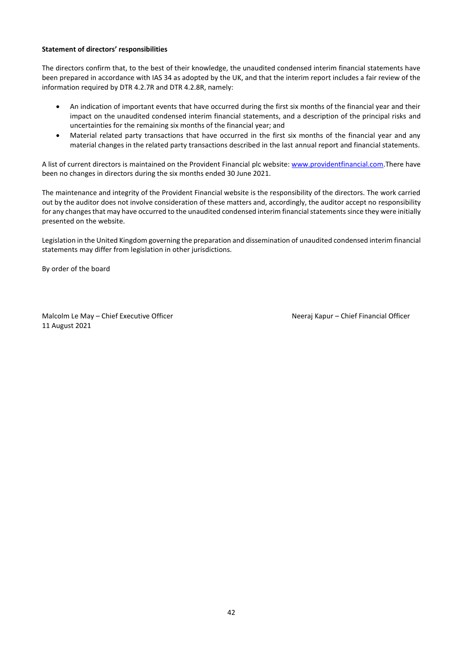## **Statement of directors' responsibilities**

The directors confirm that, to the best of their knowledge, the unaudited condensed interim financial statements have been prepared in accordance with IAS 34 as adopted by the UK, and that the interim report includes a fair review of the information required by DTR 4.2.7R and DTR 4.2.8R, namely:

- An indication of important events that have occurred during the first six months of the financial year and their impact on the unaudited condensed interim financial statements, and a description of the principal risks and uncertainties for the remaining six months of the financial year; and
- Material related party transactions that have occurred in the first six months of the financial year and any material changes in the related party transactions described in the last annual report and financial statements.

A list of current directors is maintained on the Provident Financial plc website: [www.providentfinancial.com.](http://www.providentfinancial.com/)There have been no changes in directors during the six months ended 30 June 2021.

The maintenance and integrity of the Provident Financial website is the responsibility of the directors. The work carried out by the auditor does not involve consideration of these matters and, accordingly, the auditor accept no responsibility for any changes that may have occurred to the unaudited condensed interim financial statements since they were initially presented on the website.

Legislation in the United Kingdom governing the preparation and dissemination of unaudited condensed interim financial statements may differ from legislation in other jurisdictions.

By order of the board

Malcolm Le May – Chief Executive Officer Neeraj Kapur – Chief Financial Officer 11 August 2021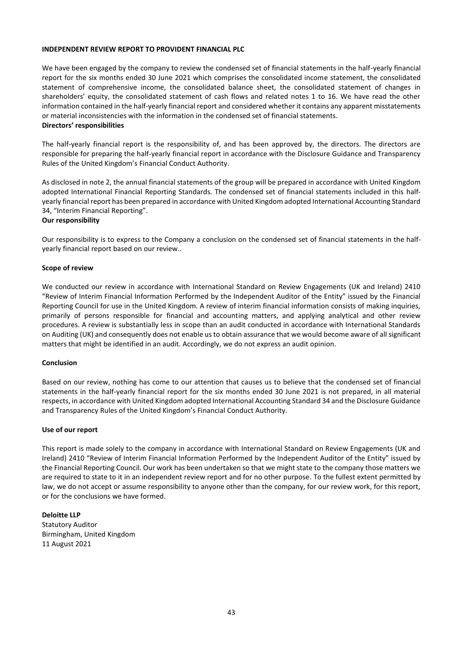#### **INDEPENDENT REVIEW REPORT TO PROVIDENT FINANCIAL PLC**

We have been engaged by the company to review the condensed set of financial statements in the half-yearly financial report for the six months ended 30 June 2021 which comprises the consolidated income statement, the consolidated statement of comprehensive income, the consolidated balance sheet, the consolidated statement of changes in shareholders' equity, the consolidated statement of cash flows and related notes 1 to 16. We have read the other information contained in the half-yearly financial report and considered whether it contains any apparent misstatements or material inconsistencies with the information in the condensed set of financial statements.

# **Directors' responsibilities**

The half-yearly financial report is the responsibility of, and has been approved by, the directors. The directors are responsible for preparing the half-yearly financial report in accordance with the Disclosure Guidance and Transparency Rules of the United Kingdom's Financial Conduct Authority.

As disclosed in note 2, the annual financial statements of the group will be prepared in accordance with United Kingdom adopted International Financial Reporting Standards. The condensed set of financial statements included in this halfyearly financial report has been prepared in accordance with United Kingdom adopted International Accounting Standard 34, "Interim Financial Reporting".

#### **Our responsibility**

Our responsibility is to express to the Company a conclusion on the condensed set of financial statements in the halfyearly financial report based on our review..

#### **Scope of review**

We conducted our review in accordance with International Standard on Review Engagements (UK and Ireland) 2410 "Review of Interim Financial Information Performed by the Independent Auditor of the Entity" issued by the Financial Reporting Council for use in the United Kingdom. A review of interim financial information consists of making inquiries, primarily of persons responsible for financial and accounting matters, and applying analytical and other review procedures. A review is substantially less in scope than an audit conducted in accordance with International Standards on Auditing (UK) and consequently does not enable us to obtain assurance that we would become aware of all significant matters that might be identified in an audit. Accordingly, we do not express an audit opinion.

#### **Conclusion**

Based on our review, nothing has come to our attention that causes us to believe that the condensed set of financial statements in the half-yearly financial report for the six months ended 30 June 2021 is not prepared, in all material respects, in accordance with United Kingdom adopted International Accounting Standard 34 and the Disclosure Guidance and Transparency Rules of the United Kingdom's Financial Conduct Authority.

#### **Use of our report**

This report is made solely to the company in accordance with International Standard on Review Engagements (UK and Ireland) 2410 "Review of Interim Financial Information Performed by the Independent Auditor of the Entity" issued by the Financial Reporting Council. Our work has been undertaken so that we might state to the company those matters we are required to state to it in an independent review report and for no other purpose. To the fullest extent permitted by law, we do not accept or assume responsibility to anyone other than the company, for our review work, for this report, or for the conclusions we have formed.

**Deloitte LLP** Statutory Auditor Birmingham, United Kingdom 11 August 2021